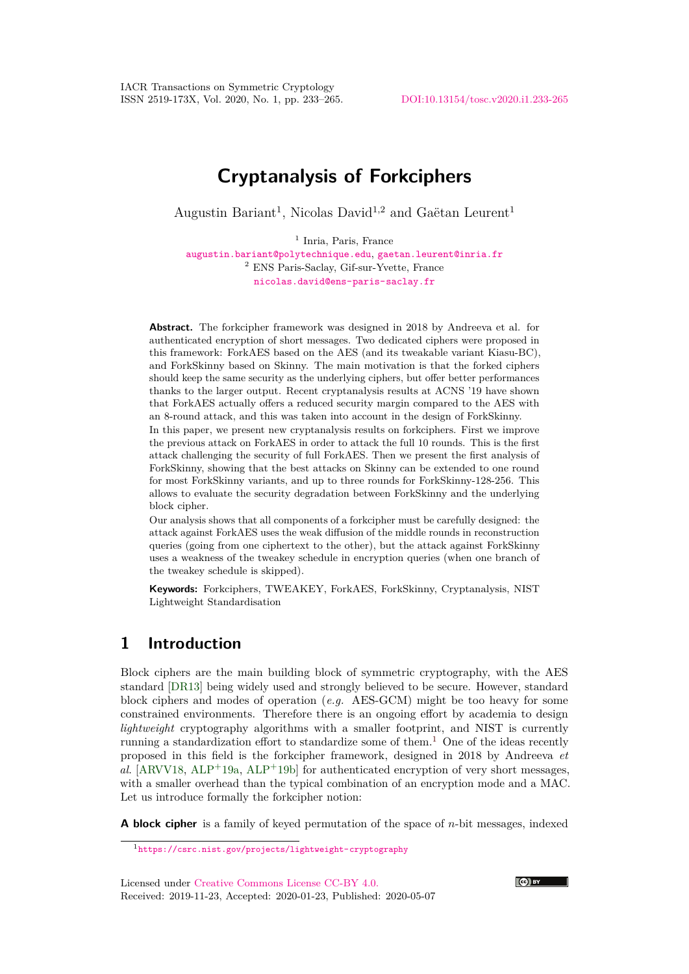IACR Transactions on Symmetric Cryptology ISSN 2519-173X, Vol. 2020, No. 1, pp. 233–265. [DOI:10.13154/tosc.v2020.i1.233-265](https://doi.org/10.13154/tosc.v2020.i1.233-265)

# **Cryptanalysis of Forkciphers**

Augustin Bariant<sup>1</sup>, Nicolas David<sup>1,2</sup> and Gaëtan Leurent<sup>1</sup>

<sup>1</sup> Inria, Paris, France [augustin.bariant@polytechnique.edu](mailto:augustin.bariant@polytechnique.edu), [gaetan.leurent@inria.fr](mailto:gaetan.leurent@inria.fr) <sup>2</sup> ENS Paris-Saclay, Gif-sur-Yvette, France [nicolas.david@ens-paris-saclay.fr](mailto:nicolas.david@ens-paris-saclay.fr)

**Abstract.** The forkcipher framework was designed in 2018 by Andreeva et al. for authenticated encryption of short messages. Two dedicated ciphers were proposed in this framework: ForkAES based on the AES (and its tweakable variant Kiasu-BC), and ForkSkinny based on Skinny. The main motivation is that the forked ciphers should keep the same security as the underlying ciphers, but offer better performances thanks to the larger output. Recent cryptanalysis results at ACNS '19 have shown that ForkAES actually offers a reduced security margin compared to the AES with an 8-round attack, and this was taken into account in the design of ForkSkinny.

In this paper, we present new cryptanalysis results on forkciphers. First we improve the previous attack on ForkAES in order to attack the full 10 rounds. This is the first attack challenging the security of full ForkAES. Then we present the first analysis of ForkSkinny, showing that the best attacks on Skinny can be extended to one round for most ForkSkinny variants, and up to three rounds for ForkSkinny-128-256. This allows to evaluate the security degradation between ForkSkinny and the underlying block cipher.

Our analysis shows that all components of a forkcipher must be carefully designed: the attack against ForkAES uses the weak diffusion of the middle rounds in reconstruction queries (going from one ciphertext to the other), but the attack against ForkSkinny uses a weakness of the tweakey schedule in encryption queries (when one branch of the tweakey schedule is skipped).

**Keywords:** Forkciphers, TWEAKEY, ForkAES, ForkSkinny, Cryptanalysis, NIST Lightweight Standardisation

## **1 Introduction**

Block ciphers are the main building block of symmetric cryptography, with the AES standard [\[DR13\]](#page-30-0) being widely used and strongly believed to be secure. However, standard block ciphers and modes of operation (*e.g.* AES-GCM) might be too heavy for some constrained environments. Therefore there is an ongoing effort by academia to design *lightweight* cryptography algorithms with a smaller footprint, and NIST is currently running a standardization effort to standardize some of them.<sup>[1](#page-0-0)</sup> One of the ideas recently proposed in this field is the forkcipher framework, designed in 2018 by Andreeva *et al.* [\[ARVV18,](#page-29-0) [ALP](#page-29-2)<sup>+</sup>19a, ALP<sup>+</sup>19b] for authenticated encryption of very short messages, with a smaller overhead than the typical combination of an encryption mode and a MAC. Let us introduce formally the forkcipher notion:

**A block cipher** is a family of keyed permutation of the space of *n*-bit messages, indexed



<span id="page-0-0"></span><sup>1</sup><https://csrc.nist.gov/projects/lightweight-cryptography>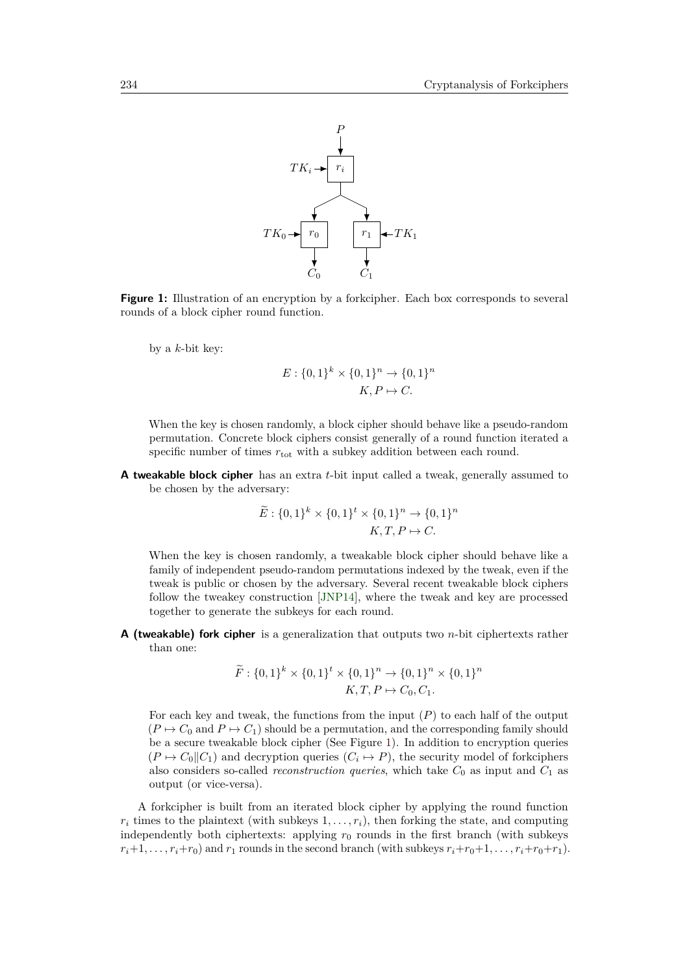<span id="page-1-0"></span>

**Figure 1:** Illustration of an encryption by a forkcipher. Each box corresponds to several rounds of a block cipher round function.

by a *k*-bit key:

$$
E: \{0,1\}^k \times \{0,1\}^n \to \{0,1\}^n
$$

$$
K, P \mapsto C.
$$

When the key is chosen randomly, a block cipher should behave like a pseudo-random permutation. Concrete block ciphers consist generally of a round function iterated a specific number of times  $r_{\text{tot}}$  with a subkey addition between each round.

**A tweakable block cipher** has an extra *t*-bit input called a tweak, generally assumed to be chosen by the adversary:

$$
\widetilde{E}: \{0,1\}^k \times \{0,1\}^t \times \{0,1\}^n \to \{0,1\}^n
$$

$$
K, T, P \mapsto C.
$$

When the key is chosen randomly, a tweakable block cipher should behave like a family of independent pseudo-random permutations indexed by the tweak, even if the tweak is public or chosen by the adversary. Several recent tweakable block ciphers follow the tweakey construction [\[JNP14\]](#page-30-1), where the tweak and key are processed together to generate the subkeys for each round.

**A (tweakable) fork cipher** is a generalization that outputs two *n*-bit ciphertexts rather than one:

$$
\widetilde{F}: \{0,1\}^k \times \{0,1\}^t \times \{0,1\}^n \to \{0,1\}^n \times \{0,1\}^n
$$

$$
K, T, P \mapsto C_0, C_1.
$$

For each key and tweak, the functions from the input (*P*) to each half of the output  $(P \mapsto C_0$  and  $P \mapsto C_1$ ) should be a permutation, and the corresponding family should be a secure tweakable block cipher (See Figure [1\)](#page-1-0). In addition to encryption queries  $(P \mapsto C_0 \| C_1)$  and decryption queries  $(C_i \mapsto P)$ , the security model of forkciphers also considers so-called *reconstruction queries*, which take  $C_0$  as input and  $C_1$  as output (or vice-versa).

A forkcipher is built from an iterated block cipher by applying the round function  $r_i$  times to the plaintext (with subkeys  $1, \ldots, r_i$ ), then forking the state, and computing independently both ciphertexts: applying  $r_0$  rounds in the first branch (with subkeys  $r_i+1, \ldots, r_i+r_0$  and  $r_1$  rounds in the second branch (with subkeys  $r_i+r_0+1, \ldots, r_i+r_0+r_1$ ).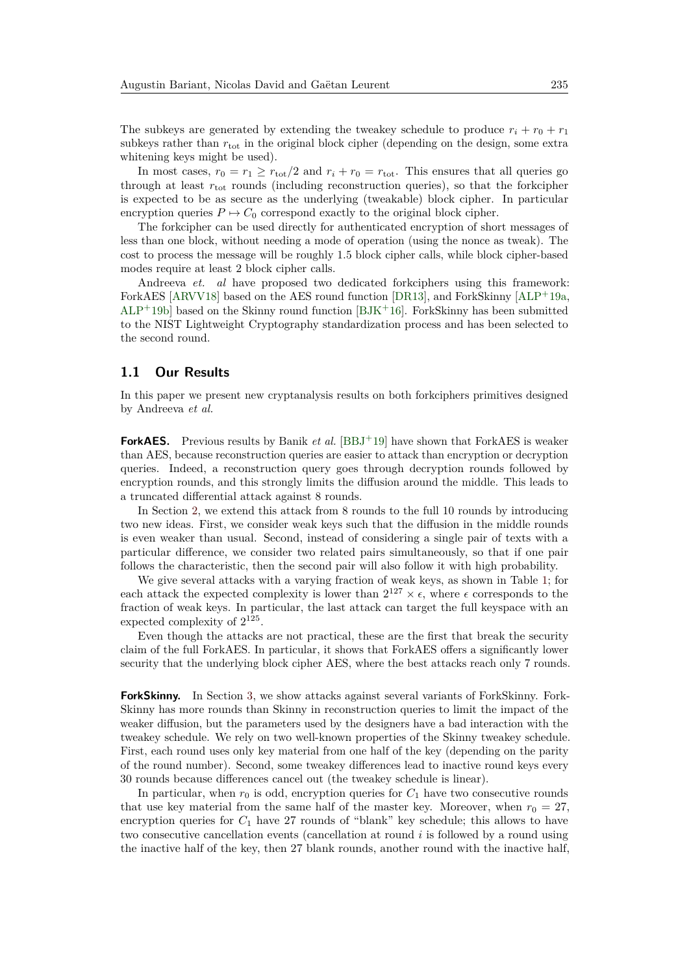The subkeys are generated by extending the tweakey schedule to produce  $r_i + r_0 + r_1$ subkeys rather than  $r_{\text{tot}}$  in the original block cipher (depending on the design, some extra whitening keys might be used).

In most cases,  $r_0 = r_1 \ge r_{\text{tot}}/2$  and  $r_i + r_0 = r_{\text{tot}}$ . This ensures that all queries go through at least  $r_{\text{tot}}$  rounds (including reconstruction queries), so that the forkcipher is expected to be as secure as the underlying (tweakable) block cipher. In particular encryption queries  $P \mapsto C_0$  correspond exactly to the original block cipher.

The forkcipher can be used directly for authenticated encryption of short messages of less than one block, without needing a mode of operation (using the nonce as tweak). The cost to process the message will be roughly 1.5 block cipher calls, while block cipher-based modes require at least 2 block cipher calls.

Andreeva *et. al* have proposed two dedicated forkciphers using this framework: ForkAES [\[ARVV18\]](#page-29-0) based on the AES round function [\[DR13\]](#page-30-0), and ForkSkinny [\[ALP](#page-29-1)<sup>+</sup>19a,  $ALP+19b$  $ALP+19b$  based on the Skinny round function [\[BJK](#page-29-3)+16]. ForkSkinny has been submitted to the NIST Lightweight Cryptography standardization process and has been selected to the second round.

## **1.1 Our Results**

In this paper we present new cryptanalysis results on both forkciphers primitives designed by Andreeva *et al.*

**ForkAES.** Previous results by Banik *et al.* [\[BBJ](#page-29-4)+19] have shown that ForkAES is weaker than AES, because reconstruction queries are easier to attack than encryption or decryption queries. Indeed, a reconstruction query goes through decryption rounds followed by encryption rounds, and this strongly limits the diffusion around the middle. This leads to a truncated differential attack against 8 rounds.

In Section [2,](#page-4-0) we extend this attack from 8 rounds to the full 10 rounds by introducing two new ideas. First, we consider weak keys such that the diffusion in the middle rounds is even weaker than usual. Second, instead of considering a single pair of texts with a particular difference, we consider two related pairs simultaneously, so that if one pair follows the characteristic, then the second pair will also follow it with high probability.

We give several attacks with a varying fraction of weak keys, as shown in Table [1;](#page-3-0) for each attack the expected complexity is lower than  $2^{127} \times \epsilon$ , where  $\epsilon$  corresponds to the fraction of weak keys. In particular, the last attack can target the full keyspace with an expected complexity of  $2^{125}$ .

Even though the attacks are not practical, these are the first that break the security claim of the full ForkAES. In particular, it shows that ForkAES offers a significantly lower security that the underlying block cipher AES, where the best attacks reach only 7 rounds.

**ForkSkinny.** In Section [3,](#page-15-0) we show attacks against several variants of ForkSkinny. Fork-Skinny has more rounds than Skinny in reconstruction queries to limit the impact of the weaker diffusion, but the parameters used by the designers have a bad interaction with the tweakey schedule. We rely on two well-known properties of the Skinny tweakey schedule. First, each round uses only key material from one half of the key (depending on the parity of the round number). Second, some tweakey differences lead to inactive round keys every 30 rounds because differences cancel out (the tweakey schedule is linear).

In particular, when  $r_0$  is odd, encryption queries for  $C_1$  have two consecutive rounds that use key material from the same half of the master key. Moreover, when  $r_0 = 27$ , encryption queries for  $C_1$  have 27 rounds of "blank" key schedule; this allows to have two consecutive cancellation events (cancellation at round *i* is followed by a round using the inactive half of the key, then 27 blank rounds, another round with the inactive half,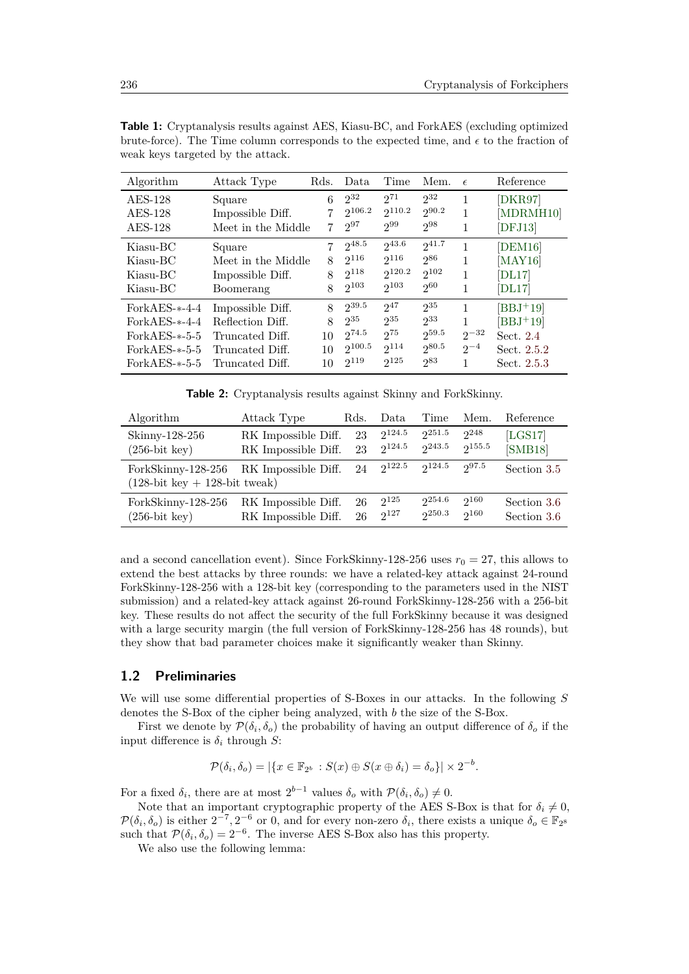| Algorithm              | Attack Type                            | Rds.         | Data               | Time               | Mem.                   | $\epsilon$ | Reference            |
|------------------------|----------------------------------------|--------------|--------------------|--------------------|------------------------|------------|----------------------|
| $AES-128$<br>$AES-128$ | Square<br>Impossible Diff.             | 6            | $2^{32}$<br>2106.2 | $2^{71}$<br>2110.2 | $2^{32}$<br>$2^{90.2}$ |            | [DKR97]<br>[MDRMH10] |
| $AES-128$              | Meet in the Middle                     | 7.           | $2^{97}$           | 299                | $2^{98}$               | 1          | [DFJ13]              |
| Kiasu-BC               | Square                                 |              | $2^{48.5}$<br>2116 | 243.6<br>2116      | $2^{41.7}$<br>286      |            | [DEM16]              |
| Kiasu-BC<br>Kiasu-BC   | Meet in the Middle<br>Impossible Diff. | 8            | $2^{118}$          | 2120.2             | $2^{102}$              |            | [MAY16]<br>[DL17]    |
| Kiasu-BC               | Boomerang                              | 8            | $2^{103}$          | $2^{103}$          | 260                    | 1          | [DL17]               |
| $ForkAES - -4 - 4$     | Impossible Diff.                       | $\mathsf{R}$ | $2^{39.5}$         | $2^{47}$           | $2^{35}$               |            | $[BBJ+19]$           |
| $ForkAES$ --4-4        | Reflection Diff.                       | 8            | $2^{35}$           | $2^{35}$           | 233                    | 1          | $[BBJ+19]$           |
| $ForkAES$ - $5-5$      | Truncated Diff.                        | 10           | $2^{74.5}$         | $2^{75}$           | $2^{59.5}$             | $2^{-32}$  | Sect. $2.4$          |
| $ForkAES$ - $5-5$      | Truncated Diff.                        | 10           | $2^{100.5}$        | 2114               | 280.5                  | $2^{-4}$   | Sect. 2.5.2          |
| $ForkAES$ - $-5-5$     | Truncated Diff.                        | 10           | $2^{119}$          | $2^{125}$          | 283                    |            | Sect. 2.5.3          |

<span id="page-3-0"></span>**Table 1:** Cryptanalysis results against AES, Kiasu-BC, and ForkAES (excluding optimized brute-force). The Time column corresponds to the expected time, and  $\epsilon$  to the fraction of weak keys targeted by the attack.

**Table 2:** Cryptanalysis results against Skinny and ForkSkinny.

| Algorithm                                                 | Attack Type         | Rds. | Data        | Time   | Mem.      | Reference   |
|-----------------------------------------------------------|---------------------|------|-------------|--------|-----------|-------------|
| Skinny-128-256                                            | RK Impossible Diff. | 23   | 2124.5      | 2251.5 | $2^{248}$ | [LGS17]     |
| $(256$ -bit key $)$                                       | RK Impossible Diff. | 23   | 2124.5      | 243.5  | 2155.5    | [SMB18]     |
| ForkSkinny-128-256<br>$(128$ -bit key $+ 128$ -bit tweak) | RK Impossible Diff. | 24   | $2^{122.5}$ | 2124.5 | 297.5     | Section 3.5 |
| ForkSkinny-128-256                                        | RK Impossible Diff. | 26   | $2^{125}$   | 254.6  | $2^{160}$ | Section 3.6 |
| $(256$ -bit key $)$                                       | RK Impossible Diff. | 26   | $2^{127}$   | 250.3  | 2160      | Section 3.6 |

and a second cancellation event). Since ForkSkinny-128-256 uses  $r_0 = 27$ , this allows to extend the best attacks by three rounds: we have a related-key attack against 24-round ForkSkinny-128-256 with a 128-bit key (corresponding to the parameters used in the NIST submission) and a related-key attack against 26-round ForkSkinny-128-256 with a 256-bit key. These results do not affect the security of the full ForkSkinny because it was designed with a large security margin (the full version of ForkSkinny-128-256 has 48 rounds), but they show that bad parameter choices make it significantly weaker than Skinny.

## <span id="page-3-1"></span>**1.2 Preliminaries**

We will use some differential properties of S-Boxes in our attacks. In the following *S* denotes the S-Box of the cipher being analyzed, with *b* the size of the S-Box.

First we denote by  $\mathcal{P}(\delta_i, \delta_o)$  the probability of having an output difference of  $\delta_o$  if the input difference is  $\delta_i$  through *S*:

$$
\mathcal{P}(\delta_i, \delta_o) = |\{x \in \mathbb{F}_{2^b} : S(x) \oplus S(x \oplus \delta_i) = \delta_o\}| \times 2^{-b}.
$$

For a fixed  $\delta_i$ , there are at most  $2^{b-1}$  values  $\delta_o$  with  $\mathcal{P}(\delta_i, \delta_o) \neq 0$ .

Note that an important cryptographic property of the AES S-Box is that for  $\delta_i \neq 0$ ,  $\mathcal{P}(\delta_i, \delta_o)$  is either  $2^{-7}$ ,  $2^{-6}$  or 0, and for every non-zero  $\delta_i$ , there exists a unique  $\delta_o \in \mathbb{F}_{2^8}$ such that  $\mathcal{P}(\delta_i, \delta_o) = 2^{-6}$ . The inverse AES S-Box also has this property.

We also use the following lemma: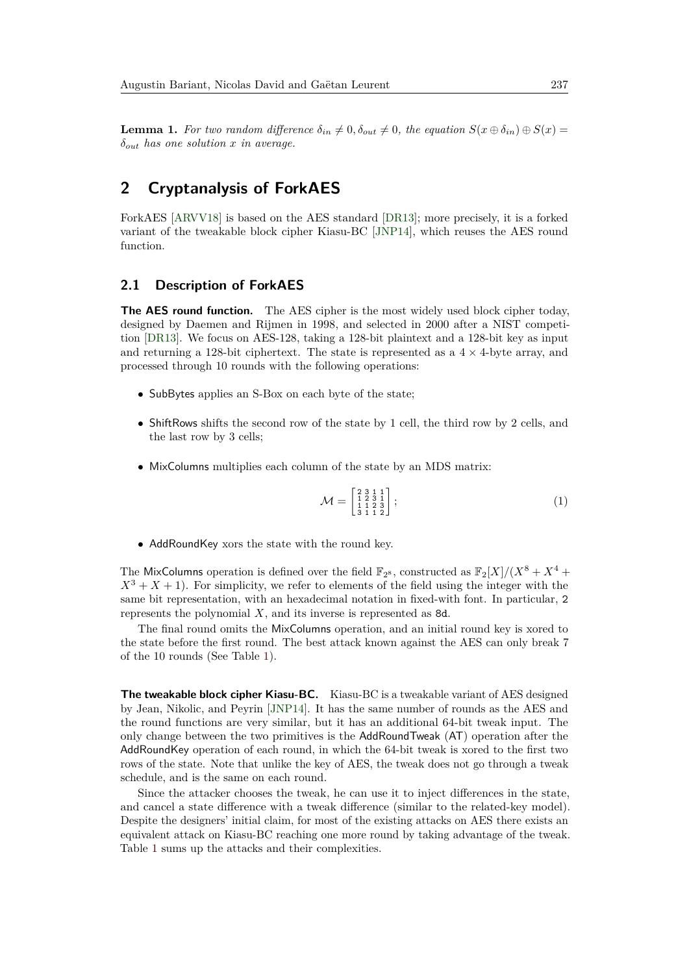<span id="page-4-1"></span>**Lemma 1.** For two random difference  $\delta_{in} \neq 0$ ,  $\delta_{out} \neq 0$ , the equation  $S(x \oplus \delta_{in}) \oplus S(x) =$ *δout has one solution x in average.*

## <span id="page-4-0"></span>**2 Cryptanalysis of ForkAES**

ForkAES [\[ARVV18\]](#page-29-0) is based on the AES standard [\[DR13\]](#page-30-0); more precisely, it is a forked variant of the tweakable block cipher Kiasu-BC [\[JNP14\]](#page-30-1), which reuses the AES round function.

## **2.1 Description of ForkAES**

**The AES round function.** The AES cipher is the most widely used block cipher today, designed by Daemen and Rijmen in 1998, and selected in 2000 after a NIST competition [\[DR13\]](#page-30-0). We focus on AES-128, taking a 128-bit plaintext and a 128-bit key as input and returning a 128-bit ciphertext. The state is represented as a  $4 \times 4$ -byte array, and processed through 10 rounds with the following operations:

- SubBytes applies an S-Box on each byte of the state;
- ShiftRows shifts the second row of the state by 1 cell, the third row by 2 cells, and the last row by 3 cells;
- MixColumns multiplies each column of the state by an MDS matrix:

$$
\mathcal{M} = \begin{bmatrix} 2 & 3 & 1 & 1 \\ 1 & 2 & 3 & 1 \\ 1 & 1 & 2 & 3 \\ 3 & 1 & 1 & 2 \end{bmatrix};\tag{1}
$$

• AddRoundKey xors the state with the round key.

The MixColumns operation is defined over the field  $\mathbb{F}_{2^8}$ , constructed as  $\mathbb{F}_2[X]/(X^8 + X^4 +$  $X^3 + X + 1$ ). For simplicity, we refer to elements of the field using the integer with the same bit representation, with an hexadecimal notation in fixed-with font. In particular, 2 represents the polynomial *X*, and its inverse is represented as 8d.

The final round omits the MixColumns operation, and an initial round key is xored to the state before the first round. The best attack known against the AES can only break 7 of the 10 rounds (See Table [1\)](#page-3-0).

**The tweakable block cipher Kiasu-BC.** Kiasu-BC is a tweakable variant of AES designed by Jean, Nikolic, and Peyrin [\[JNP14\]](#page-30-1). It has the same number of rounds as the AES and the round functions are very similar, but it has an additional 64-bit tweak input. The only change between the two primitives is the AddRoundTweak (AT) operation after the AddRoundKey operation of each round, in which the 64-bit tweak is xored to the first two rows of the state. Note that unlike the key of AES, the tweak does not go through a tweak schedule, and is the same on each round.

Since the attacker chooses the tweak, he can use it to inject differences in the state, and cancel a state difference with a tweak difference (similar to the related-key model). Despite the designers' initial claim, for most of the existing attacks on AES there exists an equivalent attack on Kiasu-BC reaching one more round by taking advantage of the tweak. Table [1](#page-3-0) sums up the attacks and their complexities.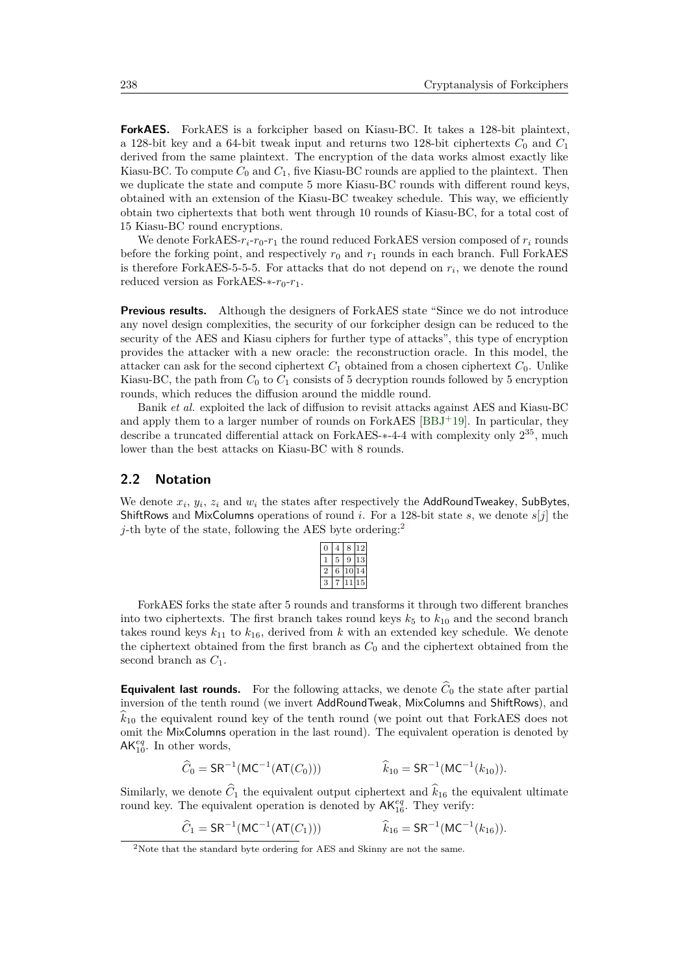**ForkAES.** ForkAES is a forkcipher based on Kiasu-BC. It takes a 128-bit plaintext, a 128-bit key and a 64-bit tweak input and returns two 128-bit ciphertexts  $C_0$  and  $C_1$ derived from the same plaintext. The encryption of the data works almost exactly like Kiasu-BC. To compute  $C_0$  and  $C_1$ , five Kiasu-BC rounds are applied to the plaintext. Then we duplicate the state and compute 5 more Kiasu-BC rounds with different round keys, obtained with an extension of the Kiasu-BC tweakey schedule. This way, we efficiently obtain two ciphertexts that both went through 10 rounds of Kiasu-BC, for a total cost of 15 Kiasu-BC round encryptions.

We denote ForkAES- $r_i$ - $r_0$ - $r_1$  the round reduced ForkAES version composed of  $r_i$  rounds before the forking point, and respectively  $r_0$  and  $r_1$  rounds in each branch. Full ForkAES is therefore ForkAES-5-5-5. For attacks that do not depend on *r<sup>i</sup>* , we denote the round reduced version as ForkAES- $*$ - $r_0$ - $r_1$ .

**Previous results.** Although the designers of ForkAES state "Since we do not introduce any novel design complexities, the security of our forkcipher design can be reduced to the security of the AES and Kiasu ciphers for further type of attacks", this type of encryption provides the attacker with a new oracle: the reconstruction oracle. In this model, the attacker can ask for the second ciphertext  $C_1$  obtained from a chosen ciphertext  $C_0$ . Unlike Kiasu-BC, the path from  $C_0$  to  $C_1$  consists of 5 decryption rounds followed by 5 encryption rounds, which reduces the diffusion around the middle round.

Banik *et al.* exploited the lack of diffusion to revisit attacks against AES and Kiasu-BC and apply them to a larger number of rounds on ForkAES [\[BBJ](#page-29-4)+19]. In particular, they describe a truncated differential attack on ForkAES-<sup>\*</sup>-4-4 with complexity only 2<sup>35</sup>, much lower than the best attacks on Kiasu-BC with 8 rounds.

## <span id="page-5-1"></span>**2.2 Notation**

We denote *x<sup>i</sup>* , *y<sup>i</sup>* , *z<sup>i</sup>* and *w<sup>i</sup>* the states after respectively the AddRoundTweakey, SubBytes, ShiftRows and MixColumns operations of round *i*. For a 128-bit state *s*, we denote *s*[*j*] the *j*-th byte of the state, following the AES byte ordering:<sup>[2](#page-5-0)</sup>

| n |   | 8       |   |
|---|---|---------|---|
|   | 5 | 9       | 3 |
|   | 6 | $^{10}$ |   |
| 3 |   |         | F |

ForkAES forks the state after 5 rounds and transforms it through two different branches into two ciphertexts. The first branch takes round keys  $k_5$  to  $k_{10}$  and the second branch takes round keys  $k_{11}$  to  $k_{16}$ , derived from k with an extended key schedule. We denote the ciphertext obtained from the first branch as  $C_0$  and the ciphertext obtained from the second branch as *C*1.

**Equivalent last rounds.** For the following attacks, we denote  $\widehat{C}_0$  the state after partial inversion of the tenth round (we invert AddRoundTweak, MixColumns and ShiftRows), and  $\hat{k}_{10}$  the equivalent round key of the tenth round (we point out that ForkAES does not omit the MixColumns operation in the last round). The equivalent operation is denoted by  $AK_{10}^{eq}$ . In other words,

$$
\widehat{C}_0 = \mathsf{SR}^{-1}(\mathsf{MC}^{-1}(\mathsf{AT}(C_0))) \qquad \qquad \widehat{k}_{10} = \mathsf{SR}^{-1}(\mathsf{MC}^{-1}(k_{10})).
$$

Similarly, we denote  $\hat{C}_1$  the equivalent output ciphertext and  $\hat{k}_{16}$  the equivalent ultimate round key. The equivalent operation is denoted by  $AK_{16}^{eq}$ . They verify:

$$
\widehat{C}_1 = \mathsf{SR}^{-1}(\mathsf{MC}^{-1}(\mathsf{AT}(C_1))) \qquad \widehat{k}_{16} = \mathsf{SR}^{-1}(\mathsf{MC}^{-1}(k_{16})).
$$

<span id="page-5-0"></span><sup>2</sup>Note that the standard byte ordering for AES and Skinny are not the same.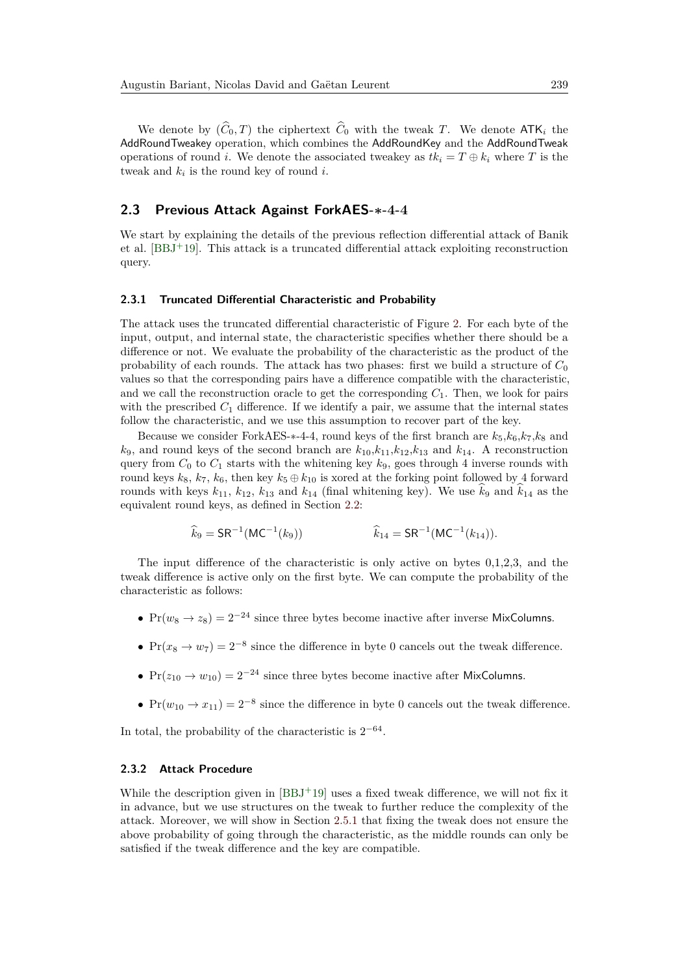We denote by  $(\widehat{C}_0, T)$  the ciphertext  $\widehat{C}_0$  with the tweak *T*. We denote ATK<sub>i</sub> the AddRoundTweakey operation, which combines the AddRoundKey and the AddRoundTweak operations of round *i*. We denote the associated tweakey as  $tk_i = T \oplus k_i$  where *T* is the tweak and  $k_i$  is the round key of round *i*.

## **2.3 Previous Attack Against ForkAES-∗-4-4**

We start by explaining the details of the previous reflection differential attack of Banik et al. [\[BBJ](#page-29-4)<sup>+</sup>19]. This attack is a truncated differential attack exploiting reconstruction query.

### **2.3.1 Truncated Differential Characteristic and Probability**

The attack uses the truncated differential characteristic of Figure [2.](#page-7-0) For each byte of the input, output, and internal state, the characteristic specifies whether there should be a difference or not. We evaluate the probability of the characteristic as the product of the probability of each rounds. The attack has two phases: first we build a structure of  $C_0$ values so that the corresponding pairs have a difference compatible with the characteristic, and we call the reconstruction oracle to get the corresponding  $C_1$ . Then, we look for pairs with the prescribed  $C_1$  difference. If we identify a pair, we assume that the internal states follow the characteristic, and we use this assumption to recover part of the key.

Because we consider ForkAES- $*$ -4-4, round keys of the first branch are  $k_5, k_6, k_7, k_8$  and  $k_9$ , and round keys of the second branch are  $k_{10}$ , $k_{11}$ , $k_{12}$ , $k_{13}$  and  $k_{14}$ . A reconstruction query from  $C_0$  to  $C_1$  starts with the whitening key  $k_9$ , goes through 4 inverse rounds with round keys  $k_8$ ,  $k_7$ ,  $k_6$ , then key  $k_5 \oplus k_{10}$  is xored at the forking point followed by 4 forward rounds with keys  $k_{11}$ ,  $k_{12}$ ,  $k_{13}$  and  $k_{14}$  (final whitening key). We use  $k_9$  and  $k_{14}$  as the equivalent round keys, as defined in Section [2.2:](#page-5-1)

$$
\widehat{k}_9 = \mathsf{SR}^{-1}(\mathsf{MC}^{-1}(k_9)) \qquad \qquad \widehat{k}_{14} = \mathsf{SR}^{-1}(\mathsf{MC}^{-1}(k_{14})).
$$

The input difference of the characteristic is only active on bytes 0,1,2,3, and the tweak difference is active only on the first byte. We can compute the probability of the characteristic as follows:

- $Pr(w_8 \rightarrow z_8) = 2^{-24}$  since three bytes become inactive after inverse MixColumns.
- $Pr(x_8 \rightarrow w_7) = 2^{-8}$  since the difference in byte 0 cancels out the tweak difference.
- $Pr(z_{10} \rightarrow w_{10}) = 2^{-24}$  since three bytes become inactive after MixColumns.
- $Pr(w_{10} \rightarrow x_{11}) = 2^{-8}$  since the difference in byte 0 cancels out the tweak difference.

In total, the probability of the characteristic is  $2^{-64}$ .

#### **2.3.2 Attack Procedure**

While the description given in  $[BBJ+19]$  $[BBJ+19]$  uses a fixed tweak difference, we will not fix it in advance, but we use structures on the tweak to further reduce the complexity of the attack. Moreover, we will show in Section [2.5.1](#page-13-0) that fixing the tweak does not ensure the above probability of going through the characteristic, as the middle rounds can only be satisfied if the tweak difference and the key are compatible.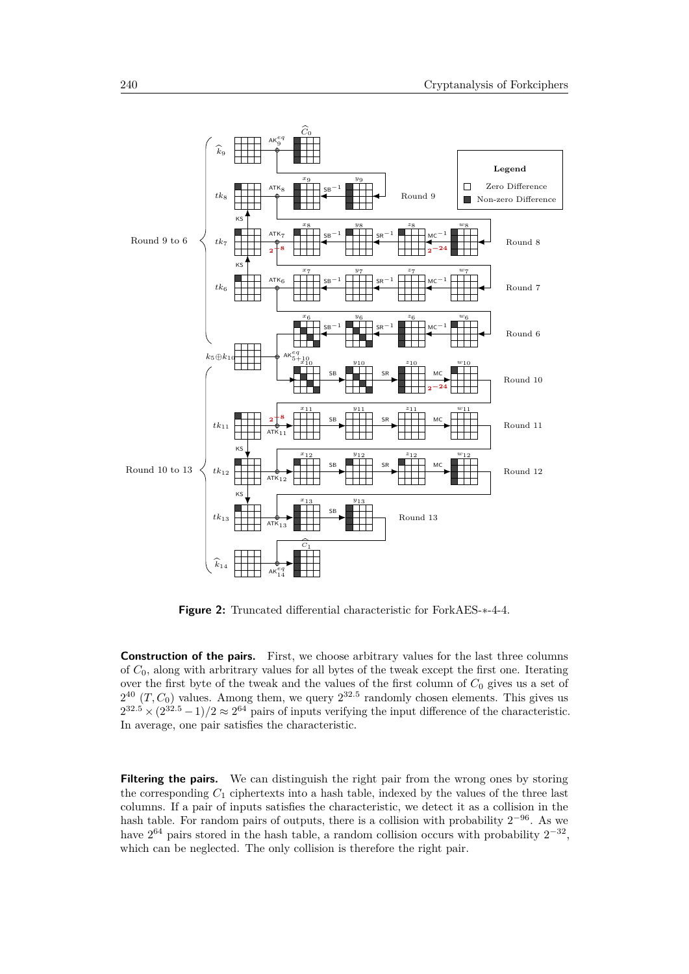<span id="page-7-0"></span>

**Figure 2:** Truncated differential characteristic for ForkAES-∗-4-4.

**Construction of the pairs.** First, we choose arbitrary values for the last three columns of *C*0, along with arbritrary values for all bytes of the tweak except the first one. Iterating over the first byte of the tweak and the values of the first column of *C*<sup>0</sup> gives us a set of  $2^{40}$   $(T, C_0)$  values. Among them, we query  $2^{32.5}$  randomly chosen elements. This gives us  $2^{32.5} \times (2^{32.5} - 1)/2 \approx 2^{64}$  pairs of inputs verifying the input difference of the characteristic. In average, one pair satisfies the characteristic.

**Filtering the pairs.** We can distinguish the right pair from the wrong ones by storing the corresponding  $C_1$  ciphertexts into a hash table, indexed by the values of the three last columns. If a pair of inputs satisfies the characteristic, we detect it as a collision in the hash table. For random pairs of outputs, there is a collision with probability  $2^{-96}$ . As we have  $2^{64}$  pairs stored in the hash table, a random collision occurs with probability  $2^{-32}$ , which can be neglected. The only collision is therefore the right pair.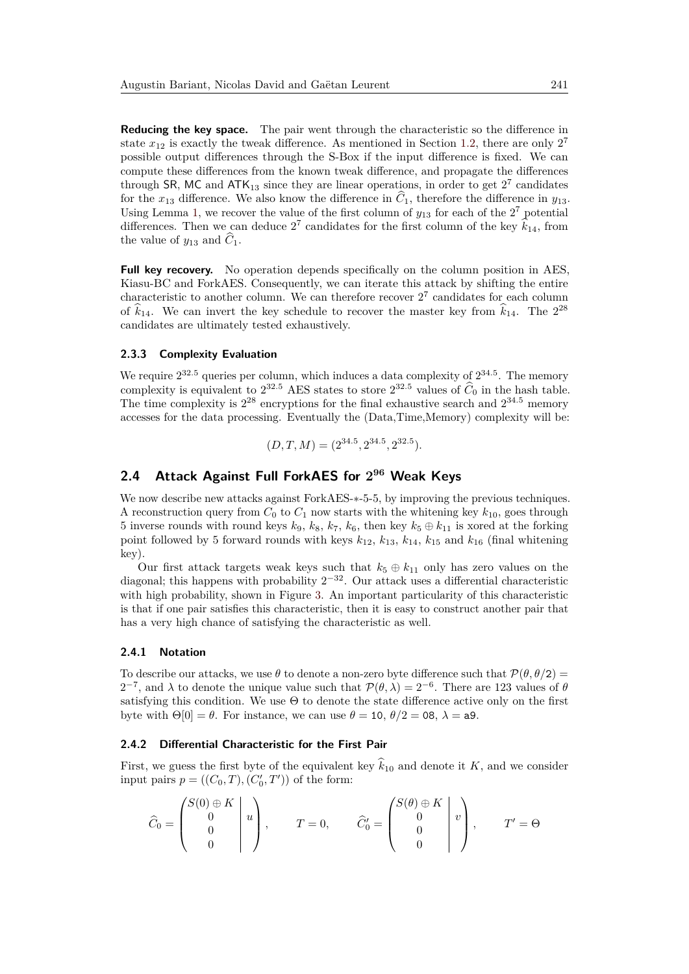**Reducing the key space.** The pair went through the characteristic so the difference in state  $x_{12}$  is exactly the tweak difference. As mentioned in Section [1.2,](#page-3-1) there are only  $2^7$ possible output differences through the S-Box if the input difference is fixed. We can compute these differences from the known tweak difference, and propagate the differences through SR, MC and  $ATK_{13}$  since they are linear operations, in order to get  $2^7$  candidates for the  $x_{13}$  difference. We also know the difference in  $\hat{C}_1$ , therefore the difference in  $y_{13}$ . Using Lemma [1,](#page-4-1) we recover the value of the first column of  $y_{13}$  for each of the  $2^7$  potential differences. Then we can deduce  $2^7$  candidates for the first column of the key  $\hat{k}_{14}$ , from the value of  $y_{13}$  and  $\hat{C}_1$ .

**Full key recovery.** No operation depends specifically on the column position in AES. Kiasu-BC and ForkAES. Consequently, we can iterate this attack by shifting the entire characteristic to another column. We can therefore recover  $2<sup>7</sup>$  candidates for each column of  $\hat{k}_{14}$ . We can invert the key schedule to recover the master key from  $\hat{k}_{14}$ . The  $2^{28}$ candidates are ultimately tested exhaustively.

#### **2.3.3 Complexity Evaluation**

We require  $2^{32.5}$  queries per column, which induces a data complexity of  $2^{34.5}$ . The memory complexity is equivalent to  $2^{32.5}$  AES states to store  $2^{32.5}$  values of  $\hat{C}_0$  in the hash table. The time complexity is  $2^{28}$  encryptions for the final exhaustive search and  $2^{34.5}$  memory accesses for the data processing. Eventually the (Data,Time,Memory) complexity will be:

$$
(D, T, M) = (2^{34.5}, 2^{34.5}, 2^{32.5}).
$$

## <span id="page-8-0"></span>**2.4 Attack Against Full ForkAES for 2 <sup>96</sup> Weak Keys**

We now describe new attacks against ForkAES-∗-5-5, by improving the previous techniques. A reconstruction query from  $C_0$  to  $C_1$  now starts with the whitening key  $k_{10}$ , goes through 5 inverse rounds with round keys  $k_9$ ,  $k_8$ ,  $k_7$ ,  $k_6$ , then key  $k_5 \oplus k_{11}$  is xored at the forking point followed by 5 forward rounds with keys  $k_{12}$ ,  $k_{13}$ ,  $k_{14}$ ,  $k_{15}$  and  $k_{16}$  (final whitening key).

Our first attack targets weak keys such that  $k_5 \oplus k_{11}$  only has zero values on the diagonal; this happens with probability  $2^{-32}$ . Our attack uses a differential characteristic with high probability, shown in Figure [3.](#page-9-0) An important particularity of this characteristic is that if one pair satisfies this characteristic, then it is easy to construct another pair that has a very high chance of satisfying the characteristic as well.

#### **2.4.1 Notation**

To describe our attacks, we use  $\theta$  to denote a non-zero byte difference such that  $\mathcal{P}(\theta, \theta/2)$  = 2<sup>-7</sup>, and λ to denote the unique value such that  $P(θ, λ) = 2<sup>-6</sup>$ . There are 123 values of  $θ$ satisfying this condition. We use Θ to denote the state difference active only on the first byte with  $\Theta[0] = \theta$ . For instance, we can use  $\theta = 10$ ,  $\theta/2 = 08$ ,  $\lambda = a9$ .

### **2.4.2 Differential Characteristic for the First Pair**

First, we guess the first byte of the equivalent key  $\hat{k}_{10}$  and denote it *K*, and we consider input pairs  $p = ((C_0, T), (C'_0, T'))$  of the form:

$$
\widehat{C}_0 = \begin{pmatrix} S(0) \oplus K \\ 0 \\ 0 \\ 0 \end{pmatrix} u, \qquad T = 0, \qquad \widehat{C}'_0 = \begin{pmatrix} S(\theta) \oplus K \\ 0 \\ 0 \\ 0 \end{pmatrix} v, \qquad T' = \Theta
$$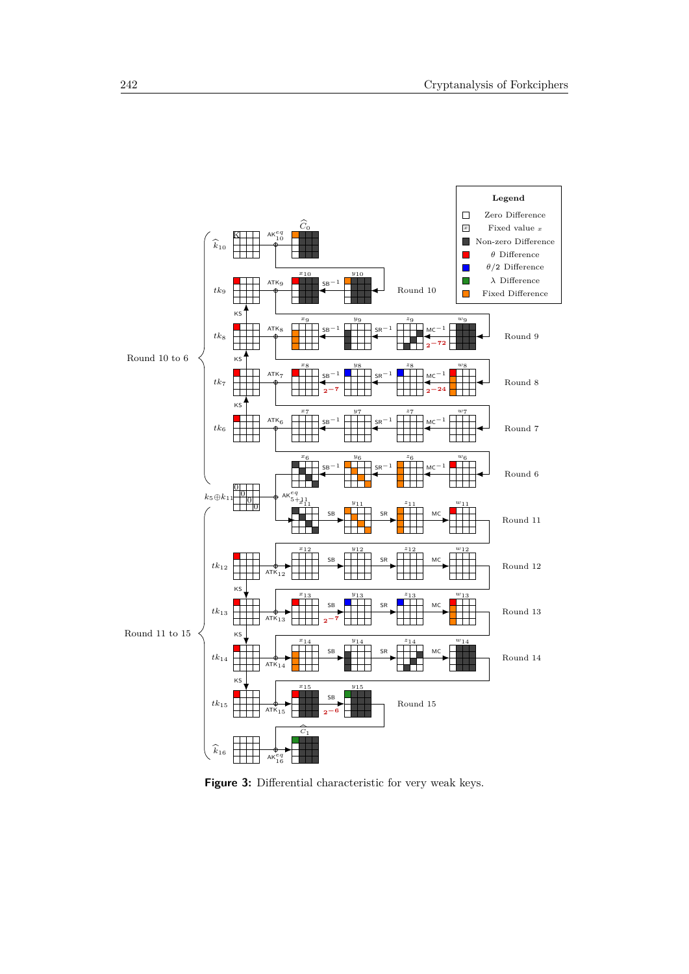<span id="page-9-0"></span>

Figure 3: Differential characteristic for very weak keys.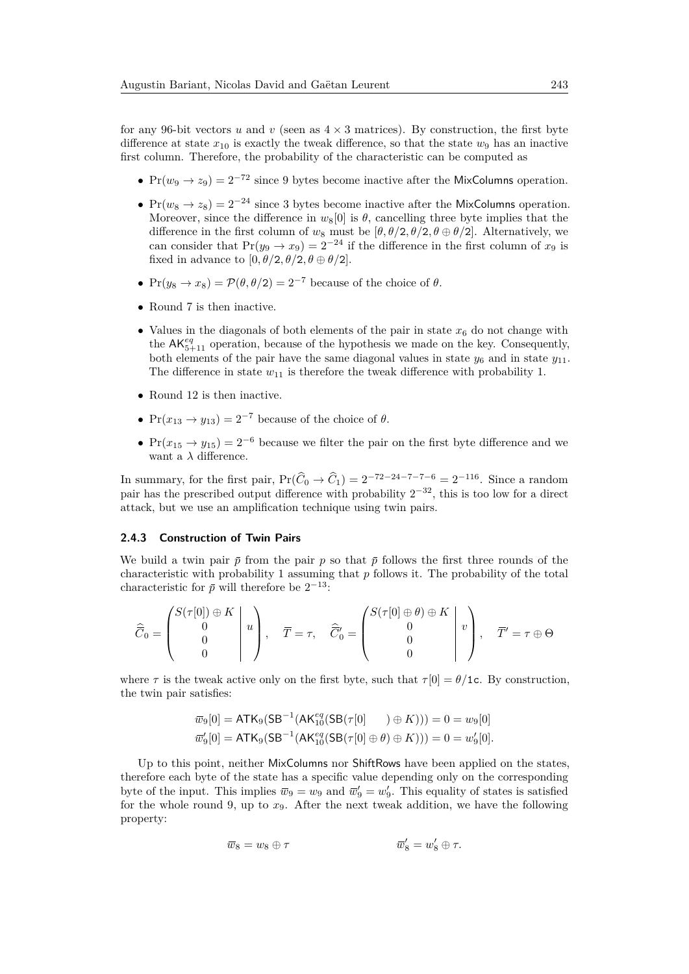for any 96-bit vectors *u* and *v* (seen as  $4 \times 3$  matrices). By construction, the first byte difference at state  $x_{10}$  is exactly the tweak difference, so that the state  $w_9$  has an inactive first column. Therefore, the probability of the characteristic can be computed as

- $Pr(w_9 \rightarrow z_9) = 2^{-72}$  since 9 bytes become inactive after the MixColumns operation.
- Pr( $w_8 \to z_8$ ) = 2<sup>-24</sup> since 3 bytes become inactive after the MixColumns operation. Moreover, since the difference in  $w_8[0]$  is  $\theta$ , cancelling three byte implies that the difference in the first column of  $w_8$  must be  $[\theta, \theta/2, \theta/2, \theta \oplus \theta/2]$ . Alternatively, we can consider that  $Pr(y_9 \rightarrow x_9) = 2^{-24}$  if the difference in the first column of  $x_9$  is fixed in advance to  $[0, \theta/2, \theta/2, \theta \oplus \theta/2]$ .
- $Pr(y_8 \rightarrow x_8) = \mathcal{P}(\theta, \theta/2) = 2^{-7}$  because of the choice of  $\theta$ .
- Round 7 is then inactive.
- Values in the diagonals of both elements of the pair in state  $x<sub>6</sub>$  do not change with the AK*eq* 5+11 operation, because of the hypothesis we made on the key. Consequently, both elements of the pair have the same diagonal values in state  $y_6$  and in state  $y_{11}$ . The difference in state  $w_{11}$  is therefore the tweak difference with probability 1.
- Round 12 is then inactive.
- $Pr(x_{13} \rightarrow y_{13}) = 2^{-7}$  because of the choice of  $\theta$ .
- Pr( $x_{15} \rightarrow y_{15}$ ) = 2<sup>-6</sup> because we filter the pair on the first byte difference and we want a  $\lambda$  difference.

In summary, for the first pair,  $Pr(\widehat{C}_0 \to \widehat{C}_1) = 2^{-72-24-7-7-6} = 2^{-116}$ . Since a random pair has the prescribed output difference with probability  $2^{-32}$ , this is too low for a direct attack, but we use an amplification technique using twin pairs.

#### **2.4.3 Construction of Twin Pairs**

We build a twin pair  $\bar{p}$  from the pair  $p$  so that  $\bar{p}$  follows the first three rounds of the characteristic with probability 1 assuming that *p* follows it. The probability of the total characteristic for  $\bar{p}$  will therefore be  $2^{-13}$ :

$$
\widehat{C}_0 = \begin{pmatrix} S(\tau[0]) \oplus K \\ 0 \\ 0 \\ 0 \end{pmatrix} u, \quad \overline{T} = \tau, \quad \widehat{C}'_0 = \begin{pmatrix} S(\tau[0] \oplus \theta) \oplus K \\ 0 \\ 0 \\ 0 \end{pmatrix} v, \quad \overline{T}' = \tau \oplus \Theta
$$

where  $\tau$  is the tweak active only on the first byte, such that  $\tau[0] = \theta/1c$ . By construction, the twin pair satisfies:

$$
\overline{w}_9[0] = \mathsf{ATK}_9(\mathsf{SB}^{-1}(\mathsf{AK}_{10}^{eq}(\mathsf{SB}(\tau[0])) \oplus K))) = 0 = w_9[0]
$$
  

$$
\overline{w}'_9[0] = \mathsf{ATK}_9(\mathsf{SB}^{-1}(\mathsf{AK}_{10}^{eq}(\mathsf{SB}(\tau[0] \oplus \theta) \oplus K))) = 0 = w'_9[0].
$$

Up to this point, neither MixColumns nor ShiftRows have been applied on the states, therefore each byte of the state has a specific value depending only on the corresponding byte of the input. This implies  $\overline{w}_9 = w_9$  and  $\overline{w}'_9 = w'_9$ . This equality of states is satisfied for the whole round 9, up to  $x<sub>9</sub>$ . After the next tweak addition, we have the following property:

$$
\overline{w}_8 = w_8 \oplus \tau \qquad \qquad \overline{w}'_8 = w'_8 \oplus \tau.
$$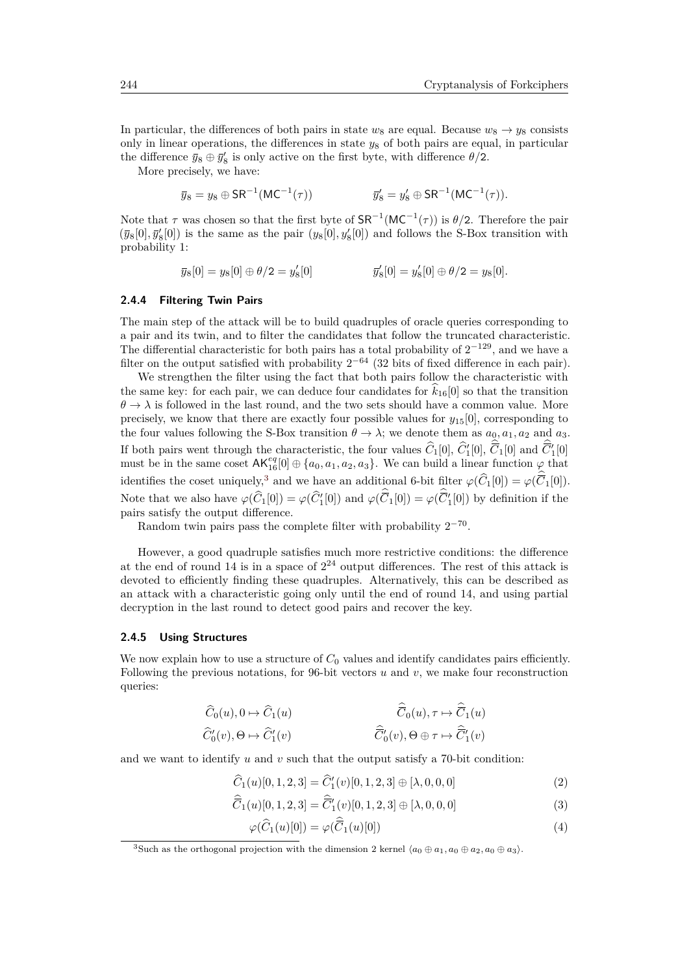In particular, the differences of both pairs in state  $w_8$  are equal. Because  $w_8 \rightarrow y_8$  consists only in linear operations, the differences in state *y*<sup>8</sup> of both pairs are equal, in particular the difference  $\bar{y}_8 \oplus \bar{y}'_8$  is only active on the first byte, with difference  $\theta/2$ .

More precisely, we have:

$$
\bar{y}_8 = y_8 \oplus \mathsf{SR}^{-1}(\mathsf{MC}^{-1}(\tau))
$$
  $\bar{y}'_8 = y'_8 \oplus \mathsf{SR}^{-1}(\mathsf{MC}^{-1}(\tau)).$ 

Note that  $\tau$  was chosen so that the first byte of  $SR^{-1}(MC^{-1}(\tau))$  is  $\theta/2$ . Therefore the pair  $(\bar{y}_8[0], \bar{y}'_8[0])$  is the same as the pair  $(y_8[0], y'_8[0])$  and follows the S-Box transition with probability 1:

$$
\bar{y}_8[0] = y_8[0] \oplus \theta/2 = y'_8[0]
$$
  $\bar{y}'_8[0] = y'_8[0] \oplus \theta/2 = y_8[0].$ 

#### **2.4.4 Filtering Twin Pairs**

The main step of the attack will be to build quadruples of oracle queries corresponding to a pair and its twin, and to filter the candidates that follow the truncated characteristic. The differential characteristic for both pairs has a total probability of  $2^{-129}$ , and we have a filter on the output satisfied with probability  $2^{-64}$  (32 bits of fixed difference in each pair).

We strengthen the filter using the fact that both pairs follow the characteristic with the same key: for each pair, we can deduce four candidates for  $\hat{k}_{16}[0]$  so that the transition  $\theta \to \lambda$  is followed in the last round, and the two sets should have a common value. More precisely, we know that there are exactly four possible values for  $y_{15}[0]$ , corresponding to the four values following the S-Box transition  $\theta \to \lambda$ ; we denote them as  $a_0, a_1, a_2$  and  $a_3$ . If both pairs went through the characteristic, the four values  $\hat{C}_1[0], \hat{C}_1[0], \overline{C}_1[0]$  and  $\overline{C}_1'[0]$ must be in the same coset  $AK_{16}^{eq}[0] \oplus \{a_0, a_1, a_2, a_3\}$ . We can build a linear function  $\varphi$  that identifies the coset uniquely,<sup>[3](#page-11-0)</sup> and we have an additional 6-bit filter  $\varphi(\widehat{C}_1[0]) = \varphi(\overline{C}_1[0])$ . Note that we also have  $\varphi(\widehat{C}_1[0]) = \varphi(\widehat{C}'_1[0])$  and  $\varphi(\overline{C}_1[0]) = \varphi(\overline{C}'_1[0])$  by definition if the pairs satisfy the output difference.

Random twin pairs pass the complete filter with probability  $2^{-70}$ .

However, a good quadruple satisfies much more restrictive conditions: the difference at the end of round 14 is in a space of  $2^{24}$  output differences. The rest of this attack is devoted to efficiently finding these quadruples. Alternatively, this can be described as an attack with a characteristic going only until the end of round 14, and using partial decryption in the last round to detect good pairs and recover the key.

#### <span id="page-11-4"></span>**2.4.5 Using Structures**

We now explain how to use a structure of  $C_0$  values and identify candidates pairs efficiently. Following the previous notations, for 96-bit vectors  $u$  and  $v$ , we make four reconstruction queries:

$$
\begin{aligned}\n\widehat{C}_0(u), 0 &\mapsto \widehat{C}_1(u) &\qquad \qquad \widehat{\overline{C}}_0(u), \tau &\mapsto \widehat{\overline{C}}_1(u) \\
\widehat{C}'_0(v), \Theta &\mapsto \widehat{C}'_1(v) &\qquad \qquad \widehat{\overline{C}'}_0(v), \Theta \oplus \tau &\mapsto \widehat{\overline{C}}'_1(v)\n\end{aligned}
$$

and we want to identify  $u$  and  $v$  such that the output satisfy a 70-bit condition:

$$
\widehat{C}_1(u)[0,1,2,3] = \widehat{C}'_1(v)[0,1,2,3] \oplus [\lambda,0,0,0]
$$
\n(2)

$$
\overline{C}_1(u)[0,1,2,3] = \overline{C}'_1(v)[0,1,2,3] \oplus [\lambda,0,0,0]
$$
\n(3)

<span id="page-11-3"></span><span id="page-11-2"></span><span id="page-11-1"></span>
$$
\varphi(\widehat{C}_1(u)[0]) = \varphi(\overline{C}_1(u)[0])\tag{4}
$$

<span id="page-11-0"></span><sup>3</sup>Such as the orthogonal projection with the dimension 2 kernel  $\langle a_0 \oplus a_1, a_0 \oplus a_2, a_0 \oplus a_3 \rangle$ .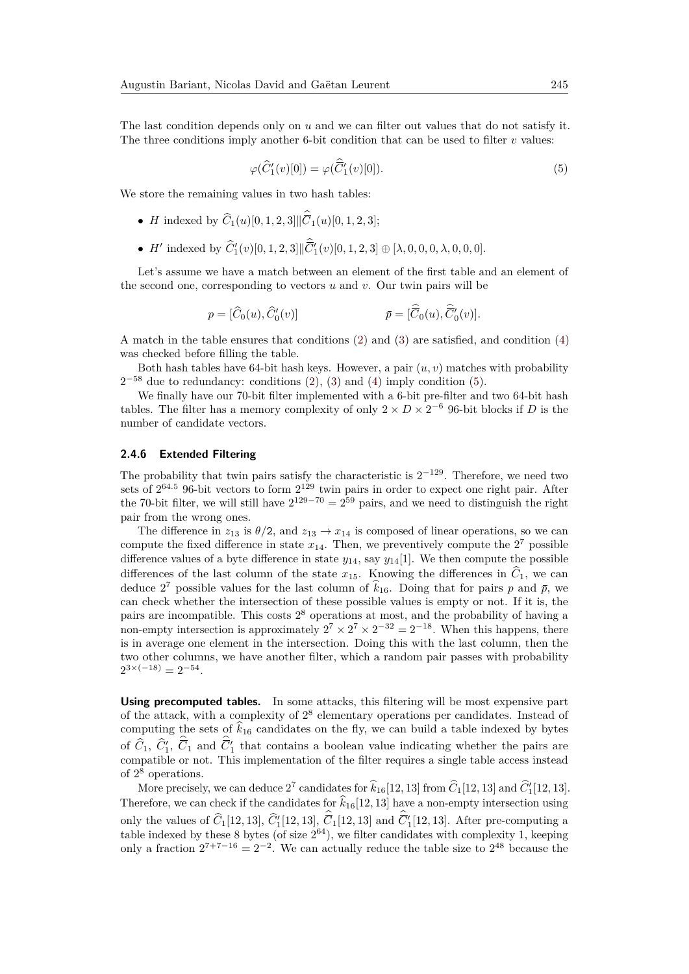The last condition depends only on *u* and we can filter out values that do not satisfy it. The three conditions imply another 6-bit condition that can be used to filter  $v$  values:

<span id="page-12-0"></span>
$$
\varphi(\widehat{C}'_1(v)[0]) = \varphi(\widehat{C}'_1(v)[0]). \tag{5}
$$

We store the remaining values in two hash tables:

- *H* indexed by  $C_1(u)[0, 1, 2, 3]$  $|\overline{C}_1(u)[0, 1, 2, 3];$
- *H'* indexed by  $\hat{C}'_1(v)[0, 1, 2, 3] | \overline{C}'_1(v)[0, 1, 2, 3] \oplus [\lambda, 0, 0, 0, \lambda, 0, 0, 0].$

Let's assume we have a match between an element of the first table and an element of the second one, corresponding to vectors *u* and *v*. Our twin pairs will be

$$
p = [\widehat{C}_0(u), \widehat{C}'_0(v)] \qquad \qquad \bar{p} = [\widehat{\overline{C}}_0(u), \widehat{\overline{C}}'_0(v)].
$$

A match in the table ensures that conditions [\(2\)](#page-11-1) and [\(3\)](#page-11-2) are satisfied, and condition [\(4\)](#page-11-3) was checked before filling the table.

Both hash tables have 64-bit hash keys. However, a pair  $(u, v)$  matches with probability  $2^{-58}$  due to redundancy: conditions  $(2)$ ,  $(3)$  and  $(4)$  imply condition  $(5)$ .

We finally have our 70-bit filter implemented with a 6-bit pre-filter and two 64-bit hash tables. The filter has a memory complexity of only  $2 \times D \times 2^{-6}$  96-bit blocks if *D* is the number of candidate vectors.

### <span id="page-12-1"></span>**2.4.6 Extended Filtering**

The probability that twin pairs satisfy the characteristic is  $2^{-129}$ . Therefore, we need two sets of  $2^{64.5}$  96-bit vectors to form  $2^{129}$  twin pairs in order to expect one right pair. After the 70-bit filter, we will still have  $2^{129-70} = 2^{59}$  pairs, and we need to distinguish the right pair from the wrong ones.

The difference in  $z_{13}$  is  $\theta/2$ , and  $z_{13} \to x_{14}$  is composed of linear operations, so we can compute the fixed difference in state  $x_{14}$ . Then, we preventively compute the  $2^7$  possible difference values of a byte difference in state  $y_{14}$ , say  $y_{14}[1]$ . We then compute the possible differences of the last column of the state  $x_{15}$ . Knowing the differences in  $\hat{C}_1$ , we can deduce 2<sup>7</sup> possible values for the last column of  $k_{16}$ . Doing that for pairs *p* and  $\bar{p}$ , we can check whether the intersection of these possible values is empty or not. If it is, the pairs are incompatible. This costs 2 <sup>8</sup> operations at most, and the probability of having a non-empty intersection is approximately  $2^7 \times 2^7 \times 2^{-32} = 2^{-18}$ . When this happens, there is in average one element in the intersection. Doing this with the last column, then the two other columns, we have another filter, which a random pair passes with probability  $2^{3 \times (-18)} = 2^{-54}.$ 

**Using precomputed tables.** In some attacks, this filtering will be most expensive part of the attack, with a complexity of  $2^8$  elementary operations per candidates. Instead of computing the sets of  $\hat{k}_{16}$  candidates on the fly, we can build a table indexed by bytes of  $\hat{C}_1$ ,  $\hat{C}_1'$ ,  $\overline{C}_1$  and  $\overline{C}_1'$  that contains a boolean value indicating whether the pairs are compatible or not. This implementation of the filter requires a single table access instead of 2 <sup>8</sup> operations.

More precisely, we can deduce  $2^7$  candidates for  $\hat{k}_{16}[12, 13]$  from  $\hat{C}_1[12, 13]$  and  $\hat{C}_1'[12, 13]$ . Therefore, we can check if the candidates for  $\hat{k}_{16}[12, 13]$  have a non-empty intersection using only the values of  $\hat{C}_1[12, 13], \hat{C}_1'[12, 13], \overline{C}_1[12, 13]$  and  $\overline{C}_1'[12, 13]$ . After pre-computing a table indexed by these  $8$  bytes (of size  $2^{64}$ ), we filter candidates with complexity 1, keeping only a fraction  $2^{7+7-16} = 2^{-2}$ . We can actually reduce the table size to  $2^{48}$  because the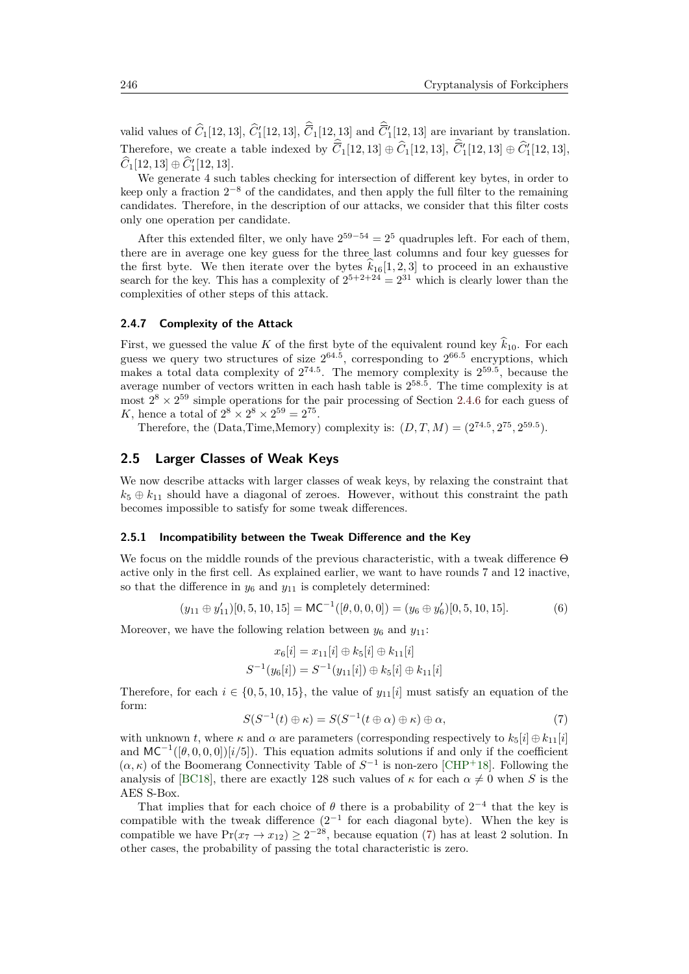valid values of  $\hat{C}_1[12, 13], \hat{C}_1'[12, 13], \overline{C}_1[12, 13]$  and  $\overline{C}_1'[12, 13]$  are invariant by translation. Therefore, we create a table indexed by  $\overline{C}_1[12, 13] \oplus \widehat{C}_1[12, 13], \overline{C}_1'[12, 13] \oplus \widehat{C}_1'[12, 13],$  $\widehat{C}_1[12, 13] \oplus \widehat{C}'_1[12, 13].$ 

We generate 4 such tables checking for intersection of different key bytes, in order to keep only a fraction  $2^{-8}$  of the candidates, and then apply the full filter to the remaining candidates. Therefore, in the description of our attacks, we consider that this filter costs only one operation per candidate.

After this extended filter, we only have  $2^{59-54} = 2^5$  quadruples left. For each of them, there are in average one key guess for the three last columns and four key guesses for the first byte. We then iterate over the bytes  $k_{16}[1, 2, 3]$  to proceed in an exhaustive search for the key. This has a complexity of  $2^{5+2+24} = 2^{31}$  which is clearly lower than the complexities of other steps of this attack.

### **2.4.7 Complexity of the Attack**

First, we guessed the value *K* of the first byte of the equivalent round key  $\hat{k}_{10}$ . For each guess we query two structures of size  $2^{64.5}$ , corresponding to  $2^{66.5}$  encryptions, which makes a total data complexity of  $2^{74.5}$ . The memory complexity is  $2^{59.5}$ , because the average number of vectors written in each hash table is 2 58*.*5 . The time complexity is at most  $2^8 \times 2^{59}$  simple operations for the pair processing of Section [2.4.6](#page-12-1) for each guess of *K*, hence a total of  $2^8 \times 2^8 \times 2^{59} = 2^{75}$ .

Therefore, the (Data,Time,Memory) complexity is:  $(D, T, M) = (2^{74.5}, 2^{75}, 2^{59.5})$ .

## **2.5 Larger Classes of Weak Keys**

We now describe attacks with larger classes of weak keys, by relaxing the constraint that  $k_5 \oplus k_{11}$  should have a diagonal of zeroes. However, without this constraint the path becomes impossible to satisfy for some tweak differences.

#### <span id="page-13-0"></span>**2.5.1 Incompatibility between the Tweak Difference and the Key**

We focus on the middle rounds of the previous characteristic, with a tweak difference Θ active only in the first cell. As explained earlier, we want to have rounds 7 and 12 inactive, so that the difference in  $y_6$  and  $y_{11}$  is completely determined:

$$
(y_{11} \oplus y_{11}')[0, 5, 10, 15] = \mathsf{MC}^{-1}([\theta, 0, 0, 0]) = (y_6 \oplus y_6')[0, 5, 10, 15]. \tag{6}
$$

Moreover, we have the following relation between  $y_6$  and  $y_{11}$ :

$$
x_6[i] = x_{11}[i] \oplus k_5[i] \oplus k_{11}[i]
$$
  

$$
S^{-1}(y_6[i]) = S^{-1}(y_{11}[i]) \oplus k_5[i] \oplus k_{11}[i]
$$

Therefore, for each  $i \in \{0, 5, 10, 15\}$ , the value of  $y_{11}[i]$  must satisfy an equation of the form:

<span id="page-13-1"></span>
$$
S(S^{-1}(t) \oplus \kappa) = S(S^{-1}(t \oplus \alpha) \oplus \kappa) \oplus \alpha,
$$
\n(7)

with unknown *t*, where  $\kappa$  and  $\alpha$  are parameters (corresponding respectively to  $k_5[i] \oplus k_{11}[i]$ and  $MC^{-1}([\theta, 0, 0, 0])[i/5]$ . This equation admits solutions if and only if the coefficient  $(\alpha, \kappa)$  of the Boomerang Connectivity Table of  $S^{-1}$  is non-zero [\[CHP](#page-29-8)<sup>+</sup>18]. Following the analysis of [\[BC18\]](#page-29-9), there are exactly 128 such values of  $\kappa$  for each  $\alpha \neq 0$  when *S* is the AES S-Box.

That implies that for each choice of  $\theta$  there is a probability of  $2^{-4}$  that the key is compatible with the tweak difference  $(2^{-1}$  for each diagonal byte). When the key is compatible we have  $Pr(x_7 \to x_{12}) \ge 2^{-28}$ , because equation [\(7\)](#page-13-1) has at least 2 solution. In other cases, the probability of passing the total characteristic is zero.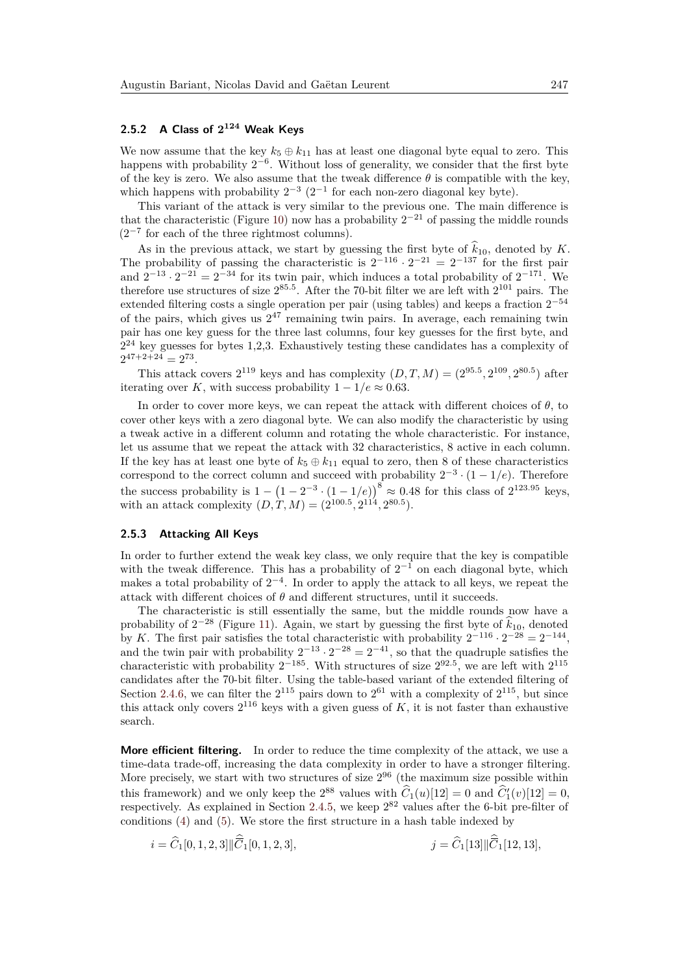## <span id="page-14-0"></span>**2.5.2 A Class of 2 <sup>124</sup> Weak Keys**

We now assume that the key  $k_5 \oplus k_{11}$  has at least one diagonal byte equal to zero. This happens with probability  $2^{-6}$ . Without loss of generality, we consider that the first byte of the key is zero. We also assume that the tweak difference  $\theta$  is compatible with the key, which happens with probability  $2^{-3}$   $(2^{-1}$  for each non-zero diagonal key byte).

This variant of the attack is very similar to the previous one. The main difference is that the characteristic (Figure [10\)](#page-31-0) now has a probability  $2^{-21}$  of passing the middle rounds  $(2^{-7}$  for each of the three rightmost columns).

As in the previous attack, we start by guessing the first byte of  $k_{10}$ , denoted by *K*.<br>The probability of passing the characteristic is  $2^{-116} \cdot 2^{-21} = 2^{-137}$  for the first pair and  $2^{-13} \cdot 2^{-21} = 2^{-34}$  for its twin pair, which induces a total probability of  $2^{-171}$ . We therefore use structures of size  $2^{85.5}$ . After the 70-bit filter we are left with  $2^{101}$  pairs. The extended filtering costs a single operation per pair (using tables) and keeps a fraction  $2^{-54}$ of the pairs, which gives us  $2^{47}$  remaining twin pairs. In average, each remaining twin pair has one key guess for the three last columns, four key guesses for the first byte, and  $2^{24}$  key guesses for bytes 1,2,3. Exhaustively testing these candidates has a complexity of  $2^{47+2+24} = 2^{73}$ .

This attack covers  $2^{119}$  keys and has complexity  $(D, T, M) = (2^{95.5}, 2^{109}, 2^{80.5})$  after iterating over *K*, with success probability  $1 - 1/e \approx 0.63$ .

In order to cover more keys, we can repeat the attack with different choices of  $\theta$ , to cover other keys with a zero diagonal byte. We can also modify the characteristic by using a tweak active in a different column and rotating the whole characteristic. For instance, let us assume that we repeat the attack with 32 characteristics, 8 active in each column. If the key has at least one byte of  $k_5 \oplus k_{11}$  equal to zero, then 8 of these characteristics correspond to the correct column and succeed with probability  $2^{-3} \cdot (1 - 1/e)$ . Therefore the success probability is  $1 - (1 - 2^{-3} \cdot (1 - 1/e))^8 \approx 0.48$  for this class of  $2^{123.95}$  keys, with an attack complexity  $(D, T, M) = (2^{100.5}, 2^{114}, 2^{80.5}).$ 

## <span id="page-14-1"></span>**2.5.3 Attacking All Keys**

In order to further extend the weak key class, we only require that the key is compatible with the tweak difference. This has a probability of  $2^{-1}$  on each diagonal byte, which makes a total probability of  $2^{-4}$ . In order to apply the attack to all keys, we repeat the attack with different choices of  $\theta$  and different structures, until it succeeds.

The characteristic is still essentially the same, but the middle rounds now have a probability of  $2^{-28}$  (Figure [11\)](#page-32-0). Again, we start by guessing the first byte of  $\hat{k}_{10}$ , denoted by *K*. The first pair satisfies the total characteristic with probability  $2^{-116} \cdot 2^{-28} = 2^{-144}$ , and the twin pair with probability  $2^{-13} \cdot 2^{-28} = 2^{-41}$ , so that the quadruple satisfies the characteristic with probability  $2^{-185}$ . With structures of size  $2^{92.5}$ , we are left with  $2^{115}$ candidates after the 70-bit filter. Using the table-based variant of the extended filtering of Section [2.4.6,](#page-12-1) we can filter the  $2^{115}$  pairs down to  $2^{61}$  with a complexity of  $2^{115}$ , but since this attack only covers  $2^{116}$  keys with a given guess of  $K$ , it is not faster than exhaustive search.

**More efficient filtering.** In order to reduce the time complexity of the attack, we use a time-data trade-off, increasing the data complexity in order to have a stronger filtering. More precisely, we start with two structures of size  $2^{96}$  (the maximum size possible within this framework) and we only keep the  $2^{88}$  values with  $\hat{C}_1(u)[12] = 0$  and  $\hat{C}_1'(v)[12] = 0$ , respectively. As explained in Section [2.4.5,](#page-11-4) we keep  $2^{82}$  values after the 6-bit pre-filter of conditions [\(4\)](#page-11-3) and [\(5\)](#page-12-0). We store the first structure in a hash table indexed by

$$
i = \widehat{C}_1[0, 1, 2, 3] \|\widehat{\overline{C}}_1[0, 1, 2, 3],
$$
  

$$
j = \widehat{C}_1[13] \|\widehat{\overline{C}}_1[12, 13],
$$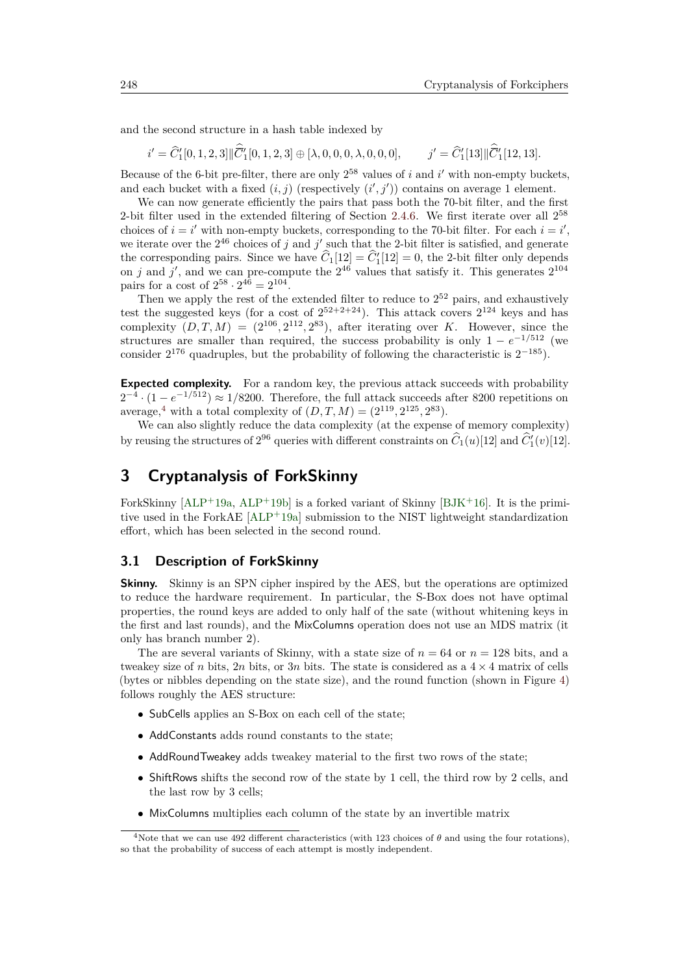and the second structure in a hash table indexed by

$$
i' = \widehat{C}'_1[0, 1, 2, 3] \|\widehat{C}'_1[0, 1, 2, 3] \oplus [\lambda, 0, 0, 0, \lambda, 0, 0, 0], \qquad j' = \widehat{C}'_1[13] \|\widehat{C}'_1[12, 13].
$$

Because of the 6-bit pre-filter, there are only  $2^{58}$  values of *i* and *i'* with non-empty buckets, and each bucket with a fixed  $(i, j)$  (respectively  $(i', j')$ ) contains on average 1 element.

We can now generate efficiently the pairs that pass both the 70-bit filter, and the first 2-bit filter used in the extended filtering of Section [2.4.6.](#page-12-1) We first iterate over all 2 58 choices of  $i = i'$  with non-empty buckets, corresponding to the 70-bit filter. For each  $i = i'$ , we iterate over the  $2^{46}$  choices of *j* and *j'* such that the 2-bit filter is satisfied, and generate the corresponding pairs. Since we have  $\hat{C}_1[12] = \hat{C}_1'[12] = 0$ , the 2-bit filter only depends on *j* and *j'*, and we can pre-compute the  $2^{46}$  values that satisfy it. This generates  $2^{104}$ pairs for a cost of  $2^{58} \cdot 2^{46} = 2^{104}$ .

Then we apply the rest of the extended filter to reduce to  $2^{52}$  pairs, and exhaustively test the suggested keys (for a cost of  $2^{52+2+24}$ ). This attack covers  $2^{124}$  keys and has complexity  $(D, T, M) = (2^{106}, 2^{112}, 2^{83})$ , after iterating over *K*. However, since the structures are smaller than required, the success probability is only  $1 - e^{-1/512}$  (we consider  $2^{176}$  quadruples, but the probability of following the characteristic is  $2^{-185}$ ).

**Expected complexity.** For a random key, the previous attack succeeds with probability  $2^{-4} \cdot (1 - e^{-1/512}) \approx 1/8200$ . Therefore, the full attack succeeds after 8200 repetitions on average,<sup>[4](#page-15-1)</sup> with a total complexity of  $(D, T, M) = (2^{119}, 2^{125}, 2^{83})$ .

We can also slightly reduce the data complexity (at the expense of memory complexity) by reusing the structures of  $2^{96}$  queries with different constraints on  $\hat{C}_1(u)[12]$  and  $\hat{C}_1'(v)[12]$ .

## <span id="page-15-0"></span>**3 Cryptanalysis of ForkSkinny**

ForkSkinny  $[ALP+19a, ALP+19b]$  $[ALP+19a, ALP+19b]$  $[ALP+19a, ALP+19b]$  $[ALP+19a, ALP+19b]$  is a forked variant of Skinny  $[BJK+16]$  $[BJK+16]$ . It is the primitive used in the ForkAE  $[ALP^+19a]$  $[ALP^+19a]$  submission to the NIST lightweight standardization effort, which has been selected in the second round.

## **3.1 Description of ForkSkinny**

**Skinny.** Skinny is an SPN cipher inspired by the AES, but the operations are optimized to reduce the hardware requirement. In particular, the S-Box does not have optimal properties, the round keys are added to only half of the sate (without whitening keys in the first and last rounds), and the MixColumns operation does not use an MDS matrix (it only has branch number 2).

The are several variants of Skinny, with a state size of  $n = 64$  or  $n = 128$  bits, and a tweakey size of *n* bits, 2*n* bits, or 3*n* bits. The state is considered as a  $4 \times 4$  matrix of cells (bytes or nibbles depending on the state size), and the round function (shown in Figure [4\)](#page-16-0) follows roughly the AES structure:

- SubCells applies an S-Box on each cell of the state;
- AddConstants adds round constants to the state;
- AddRoundTweakey adds tweakey material to the first two rows of the state;
- ShiftRows shifts the second row of the state by 1 cell, the third row by 2 cells, and the last row by 3 cells;
- MixColumns multiplies each column of the state by an invertible matrix

<span id="page-15-1"></span><sup>&</sup>lt;sup>4</sup>Note that we can use 492 different characteristics (with 123 choices of  $\theta$  and using the four rotations), so that the probability of success of each attempt is mostly independent.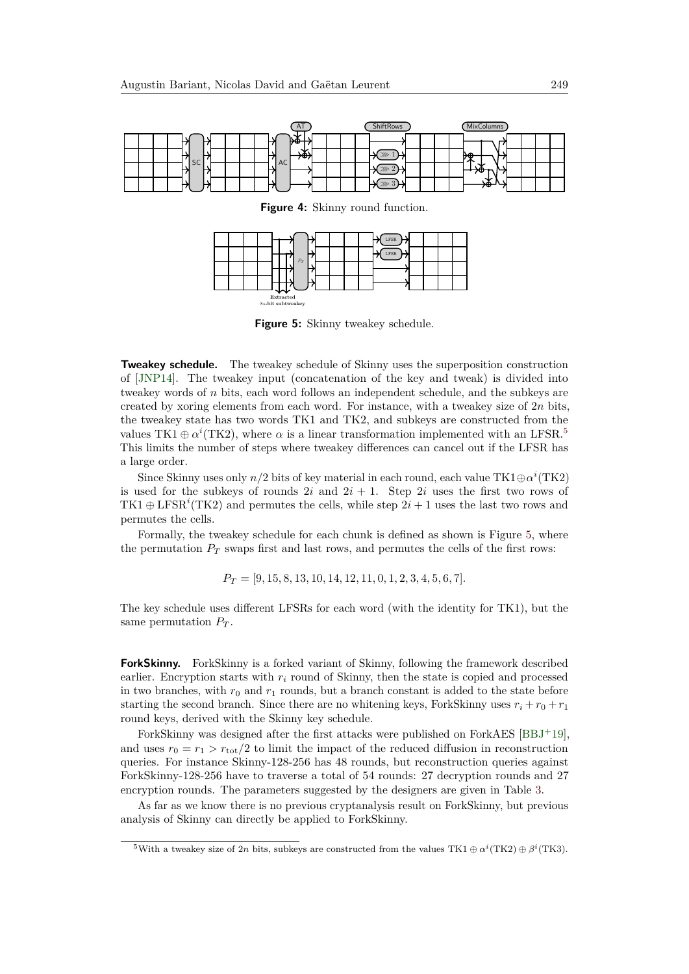<span id="page-16-0"></span>

**Figure 4:** Skinny round function.

<span id="page-16-2"></span>

**Figure 5:** Skinny tweakey schedule.

**Tweakey schedule.** The tweakey schedule of Skinny uses the superposition construction of [\[JNP14\]](#page-30-1). The tweakey input (concatenation of the key and tweak) is divided into tweakey words of *n* bits, each word follows an independent schedule, and the subkeys are created by xoring elements from each word. For instance, with a tweakey size of 2*n* bits, the tweakey state has two words TK1 and TK2, and subkeys are constructed from the values TK1  $\oplus \alpha^{i}$ (TK2), where  $\alpha$  is a linear transformation implemented with an LFSR.<sup>[5](#page-16-1)</sup> This limits the number of steps where tweakey differences can cancel out if the LFSR has a large order.

Since Skinny uses only  $n/2$  bits of key material in each round, each value TK1 $\oplus \alpha^{i}$  (TK2) is used for the subkeys of rounds  $2i$  and  $2i + 1$ . Step  $2i$  uses the first two rows of TK1  $\oplus$  LFSR<sup>*i*</sup>(TK2) and permutes the cells, while step  $2i + 1$  uses the last two rows and permutes the cells.

Formally, the tweakey schedule for each chunk is defined as shown is Figure [5,](#page-16-2) where the permutation  $P_T$  swaps first and last rows, and permutes the cells of the first rows:

*P<sup>T</sup>* = [9*,* 15*,* 8*,* 13*,* 10*,* 14*,* 12*,* 11*,* 0*,* 1*,* 2*,* 3*,* 4*,* 5*,* 6*,* 7]*.*

The key schedule uses different LFSRs for each word (with the identity for TK1), but the same permutation  $P_T$ .

**ForkSkinny.** ForkSkinny is a forked variant of Skinny, following the framework described earlier. Encryption starts with  $r_i$  round of Skinny, then the state is copied and processed in two branches, with  $r_0$  and  $r_1$  rounds, but a branch constant is added to the state before starting the second branch. Since there are no whitening keys, ForkSkinny uses  $r_i + r_0 + r_1$ round keys, derived with the Skinny key schedule.

ForkSkinny was designed after the first attacks were published on ForkAES [\[BBJ](#page-29-4)<sup>+</sup>19], and uses  $r_0 = r_1 > r_{\text{tot}}/2$  to limit the impact of the reduced diffusion in reconstruction queries. For instance Skinny-128-256 has 48 rounds, but reconstruction queries against ForkSkinny-128-256 have to traverse a total of 54 rounds: 27 decryption rounds and 27 encryption rounds. The parameters suggested by the designers are given in Table [3.](#page-17-0)

As far as we know there is no previous cryptanalysis result on ForkSkinny, but previous analysis of Skinny can directly be applied to ForkSkinny.

<span id="page-16-1"></span><sup>&</sup>lt;sup>5</sup>With a tweakey size of 2*n* bits, subkeys are constructed from the values TK1  $\oplus \alpha^{i}$  (TK2)  $\oplus \beta^{i}$  (TK3).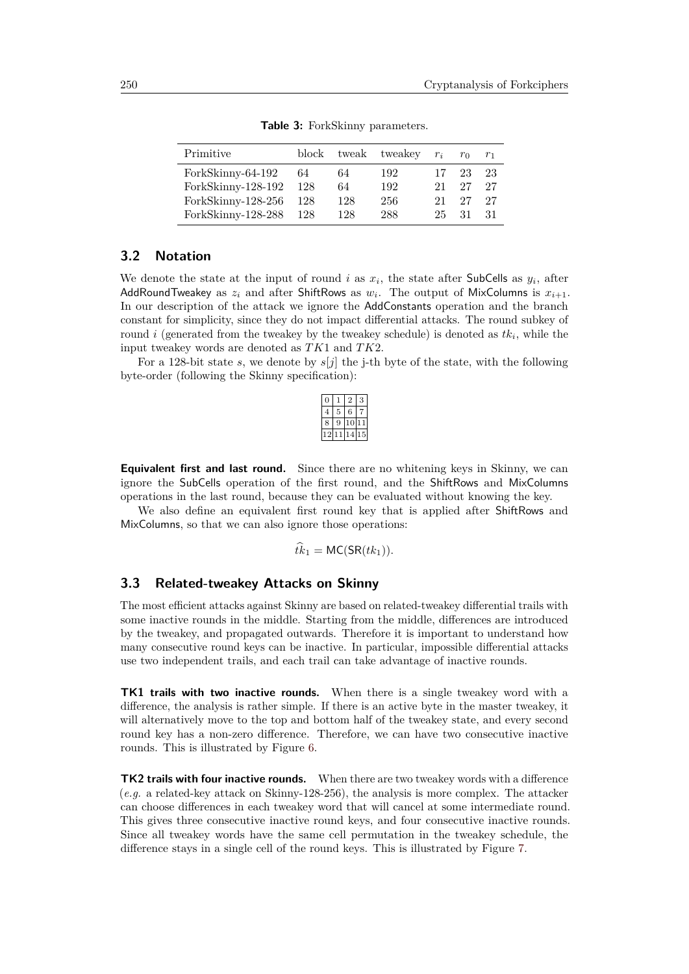<span id="page-17-0"></span>

| Primitive          |     |     | block tweak tweakey $r_i$ |    | $r_0$ | r <sub>1</sub> |
|--------------------|-----|-----|---------------------------|----|-------|----------------|
| ForkSkinny-64-192  | 64  | 64  | 192                       | 17 | 23    | 23             |
| ForkSkinny-128-192 | 128 | 64  | 192                       | 21 | 27    | 27             |
| ForkSkinny-128-256 | 128 | 128 | 256                       | 21 | 27    | 27             |
| ForkSkinny-128-288 | 128 | 128 | 288                       | 25 | 31    | -31            |
|                    |     |     |                           |    |       |                |

**Table 3:** ForkSkinny parameters.

## **3.2 Notation**

We denote the state at the input of round *i* as  $x_i$ , the state after SubCells as  $y_i$ , after AddRoundTweakey as  $z_i$  and after ShiftRows as  $w_i$ . The output of MixColumns is  $x_{i+1}$ . In our description of the attack we ignore the AddConstants operation and the branch constant for simplicity, since they do not impact differential attacks. The round subkey of round *i* (generated from the tweakey by the tweakey schedule) is denoted as *tk<sup>i</sup>* , while the input tweakey words are denoted as *TK*1 and *TK*2.

For a 128-bit state *s*, we denote by *s*[*j*] the j-th byte of the state, with the following byte-order (following the Skinny specification):

|   | 6 |                 |
|---|---|-----------------|
| ۸ | P | 1               |
|   | 4 | $\overline{15}$ |

**Equivalent first and last round.** Since there are no whitening keys in Skinny, we can ignore the SubCells operation of the first round, and the ShiftRows and MixColumns operations in the last round, because they can be evaluated without knowing the key.

We also define an equivalent first round key that is applied after ShiftRows and MixColumns, so that we can also ignore those operations:

$$
\hat{tk}_1 = \mathsf{MC}(\mathsf{SR}(tk_1)).
$$

## **3.3 Related-tweakey Attacks on Skinny**

The most efficient attacks against Skinny are based on related-tweakey differential trails with some inactive rounds in the middle. Starting from the middle, differences are introduced by the tweakey, and propagated outwards. Therefore it is important to understand how many consecutive round keys can be inactive. In particular, impossible differential attacks use two independent trails, and each trail can take advantage of inactive rounds.

**TK1 trails with two inactive rounds.** When there is a single tweakey word with a difference, the analysis is rather simple. If there is an active byte in the master tweakey, it will alternatively move to the top and bottom half of the tweakey state, and every second round key has a non-zero difference. Therefore, we can have two consecutive inactive rounds. This is illustrated by Figure [6.](#page-18-0)

**TK2 trails with four inactive rounds.** When there are two tweakey words with a difference (*e.g.* a related-key attack on Skinny-128-256), the analysis is more complex. The attacker can choose differences in each tweakey word that will cancel at some intermediate round. This gives three consecutive inactive round keys, and four consecutive inactive rounds. Since all tweakey words have the same cell permutation in the tweakey schedule, the difference stays in a single cell of the round keys. This is illustrated by Figure [7.](#page-18-1)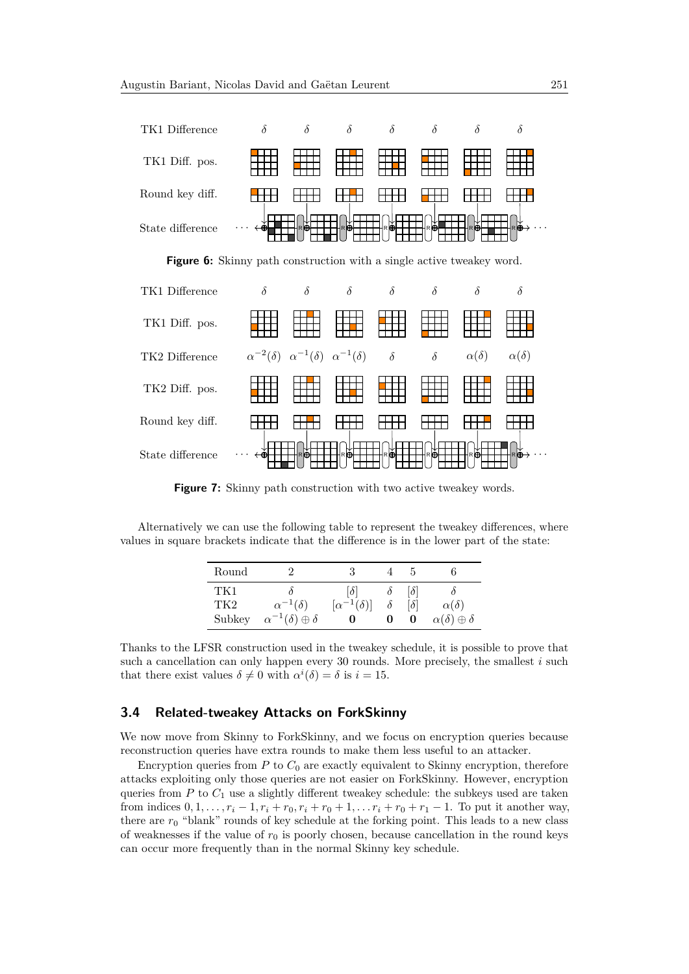<span id="page-18-0"></span>

**Figure 6:** Skinny path construction with a single active tweakey word.

<span id="page-18-1"></span>

**Figure 7:** Skinny path construction with two active tweakey words.

Alternatively we can use the following table to represent the tweakey differences, where values in square brackets indicate that the difference is in the lower part of the state:

| Round           |                                     |                         |   |            |                                |
|-----------------|-------------------------------------|-------------------------|---|------------|--------------------------------|
| TK1             |                                     | $\delta$                | 0 | $ \delta $ |                                |
| TK <sub>2</sub> | $\alpha^{-1}(\delta)$               | $[\alpha^{-1}(\delta)]$ |   | $\delta$   | $\alpha(\delta)$               |
| Subkey          | $\alpha^{-1}(\delta) \oplus \delta$ | U                       | 0 | 0          | $\alpha(\delta) \oplus \delta$ |

Thanks to the LFSR construction used in the tweakey schedule, it is possible to prove that such a cancellation can only happen every 30 rounds. More precisely, the smallest *i* such that there exist values  $\delta \neq 0$  with  $\alpha^{i}(\delta) = \delta$  is  $i = 15$ .

## **3.4 Related-tweakey Attacks on ForkSkinny**

We now move from Skinny to ForkSkinny, and we focus on encryption queries because reconstruction queries have extra rounds to make them less useful to an attacker.

Encryption queries from  $P$  to  $C_0$  are exactly equivalent to Skinny encryption, therefore attacks exploiting only those queries are not easier on ForkSkinny. However, encryption queries from  $P$  to  $C_1$  use a slightly different tweakey schedule: the subkeys used are taken from indices  $0, 1, \ldots, r_i - 1, r_i + r_0, r_i + r_0 + 1, \ldots, r_i + r_0 + r_1 - 1$ . To put it another way, there are *r*<sup>0</sup> "blank" rounds of key schedule at the forking point. This leads to a new class of weaknesses if the value of  $r_0$  is poorly chosen, because cancellation in the round keys can occur more frequently than in the normal Skinny key schedule.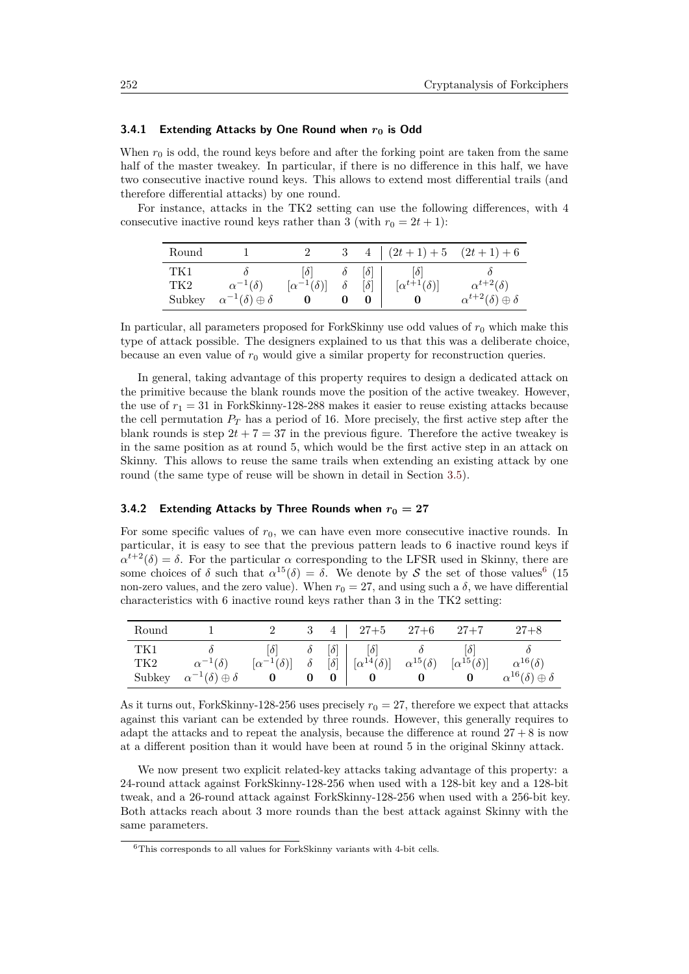### **3.4.1 Extending Attacks by One Round when** *r***<sup>0</sup> is Odd**

When  $r_0$  is odd, the round keys before and after the forking point are taken from the same half of the master tweakey. In particular, if there is no difference in this half, we have two consecutive inactive round keys. This allows to extend most differential trails (and therefore differential attacks) by one round.

For instance, attacks in the TK2 setting can use the following differences, with 4 consecutive inactive round keys rather than 3 (with  $r_0 = 2t + 1$ ):

| Round                |                                                              |                         |          |                                      | $4 (2t+1)+5 (2t+1)+6$          |                                                                |
|----------------------|--------------------------------------------------------------|-------------------------|----------|--------------------------------------|--------------------------------|----------------------------------------------------------------|
| TK1<br>TK2<br>Subkey | $\alpha^{-1}(\delta)$<br>$\alpha^{-1}(\delta) \oplus \delta$ | $[\alpha^{-1}(\delta)]$ | $\delta$ | $\lceil \delta \rceil$<br>$[\delta]$ | 0 <br>$[\alpha^{t+1}(\delta)]$ | $\alpha^{t+2}(\delta)$<br>$\alpha^{t+2}(\delta) \oplus \delta$ |

In particular, all parameters proposed for ForkSkinny use odd values of  $r_0$  which make this type of attack possible. The designers explained to us that this was a deliberate choice, because an even value of  $r_0$  would give a similar property for reconstruction queries.

In general, taking advantage of this property requires to design a dedicated attack on the primitive because the blank rounds move the position of the active tweakey. However, the use of  $r_1 = 31$  in ForkSkinny-128-288 makes it easier to reuse existing attacks because the cell permutation *P<sup>T</sup>* has a period of 16. More precisely, the first active step after the blank rounds is step  $2t + 7 = 37$  in the previous figure. Therefore the active tweakey is in the same position as at round 5, which would be the first active step in an attack on Skinny. This allows to reuse the same trails when extending an existing attack by one round (the same type of reuse will be shown in detail in Section [3.5\)](#page-20-0).

#### <span id="page-19-1"></span>**3.4.2 Extending Attacks by Three Rounds when** *r***<sup>0</sup> = 27**

For some specific values of  $r_0$ , we can have even more consecutive inactive rounds. In particular, it is easy to see that the previous pattern leads to 6 inactive round keys if  $\alpha^{t+2}(\delta) = \delta$ . For the particular  $\alpha$  corresponding to the LFSR used in Skinny, there are some choices of  $\delta$  such that  $\alpha^{15}(\delta) = \delta$ . We denote by S the set of those values<sup>[6](#page-19-0)</sup> (15) non-zero values, and the zero value). When  $r_0 = 27$ , and using such a δ, we have differential characteristics with 6 inactive round keys rather than 3 in the TK2 setting:

| Round                |                                                              |                                       |                        |                                                  | $4 \mid 27+5 \quad 27+6$                                                                                                         | $27 + 7$ | $27 + 8$                                                     |
|----------------------|--------------------------------------------------------------|---------------------------------------|------------------------|--------------------------------------------------|----------------------------------------------------------------------------------------------------------------------------------|----------|--------------------------------------------------------------|
| TK1<br>TK2<br>Subkey | $\alpha^{-1}(\delta)$<br>$\alpha^{-1}(\delta) \oplus \delta$ | $ \delta $<br>$[\alpha^{-1}(\delta)]$ | $\partial$<br>$\delta$ | $\lceil \delta \rceil$<br>$\lceil \delta \rceil$ | $ \delta $<br>$\left[ \begin{array}{cc} [\alpha^{14}(\delta)] & \alpha^{15}(\delta) & [\alpha^{15}(\delta)] \end{array} \right]$ | 0 <br>0  | $\alpha^{16}(\delta)$<br>$\alpha^{16}(\delta) \oplus \delta$ |

As it turns out, ForkSkinny-128-256 uses precisely  $r_0 = 27$ , therefore we expect that attacks against this variant can be extended by three rounds. However, this generally requires to adapt the attacks and to repeat the analysis, because the difference at round  $27 + 8$  is now at a different position than it would have been at round 5 in the original Skinny attack.

We now present two explicit related-key attacks taking advantage of this property: a 24-round attack against ForkSkinny-128-256 when used with a 128-bit key and a 128-bit tweak, and a 26-round attack against ForkSkinny-128-256 when used with a 256-bit key. Both attacks reach about 3 more rounds than the best attack against Skinny with the same parameters.

<span id="page-19-0"></span> $^6\mathrm{This}$  corresponds to all values for ForkSkinny variants with 4-bit cells.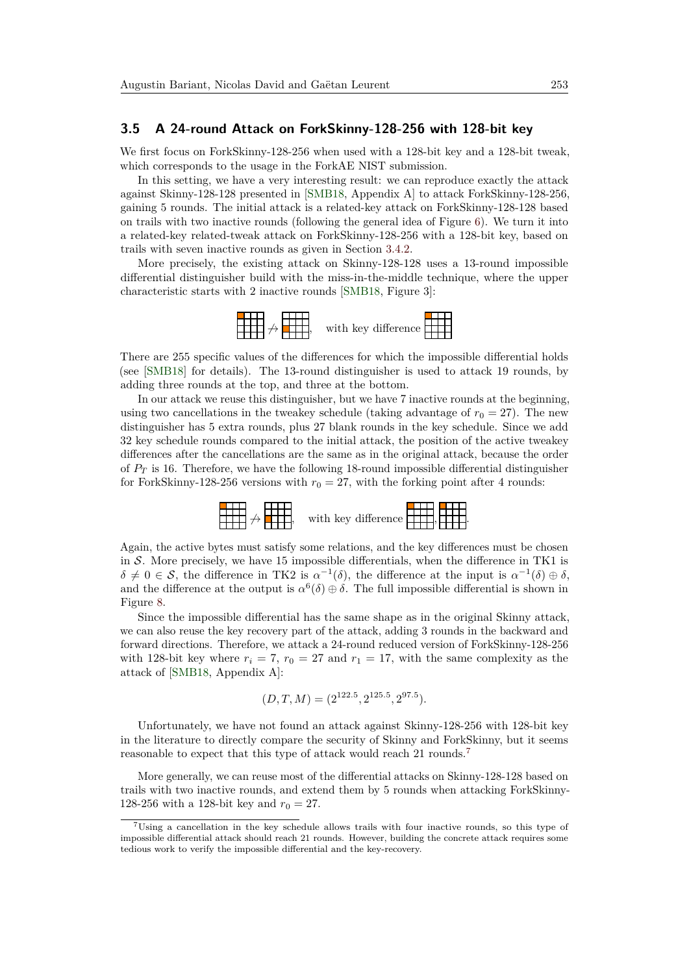### <span id="page-20-0"></span>**3.5 A 24-round Attack on ForkSkinny-128-256 with 128-bit key**

We first focus on ForkSkinny-128-256 when used with a 128-bit key and a 128-bit tweak, which corresponds to the usage in the ForkAE NIST submission.

In this setting, we have a very interesting result: we can reproduce exactly the attack against Skinny-128-128 presented in [\[SMB18,](#page-30-6) Appendix A] to attack ForkSkinny-128-256, gaining 5 rounds. The initial attack is a related-key attack on ForkSkinny-128-128 based on trails with two inactive rounds (following the general idea of Figure [6\)](#page-18-0). We turn it into a related-key related-tweak attack on ForkSkinny-128-256 with a 128-bit key, based on trails with seven inactive rounds as given in Section [3.4.2.](#page-19-1)

More precisely, the existing attack on Skinny-128-128 uses a 13-round impossible differential distinguisher build with the miss-in-the-middle technique, where the upper characteristic starts with 2 inactive rounds [\[SMB18,](#page-30-6) Figure 3]:



There are 255 specific values of the differences for which the impossible differential holds (see [\[SMB18\]](#page-30-6) for details). The 13-round distinguisher is used to attack 19 rounds, by adding three rounds at the top, and three at the bottom.

In our attack we reuse this distinguisher, but we have 7 inactive rounds at the beginning, using two cancellations in the tweakey schedule (taking advantage of  $r_0 = 27$ ). The new distinguisher has 5 extra rounds, plus 27 blank rounds in the key schedule. Since we add 32 key schedule rounds compared to the initial attack, the position of the active tweakey differences after the cancellations are the same as in the original attack, because the order of *P<sup>T</sup>* is 16. Therefore, we have the following 18-round impossible differential distinguisher for ForkSkinny-128-256 versions with  $r_0 = 27$ , with the forking point after 4 rounds:



Again, the active bytes must satisfy some relations, and the key differences must be chosen in S. More precisely, we have 15 impossible differentials, when the difference in TK1 is  $\delta \neq 0 \in S$ , the difference in TK2 is  $\alpha^{-1}(\delta)$ , the difference at the input is  $\alpha^{-1}(\delta) \oplus \delta$ , and the difference at the output is  $\alpha^6(\delta) \oplus \delta$ . The full impossible differential is shown in Figure [8.](#page-22-0)

Since the impossible differential has the same shape as in the original Skinny attack, we can also reuse the key recovery part of the attack, adding 3 rounds in the backward and forward directions. Therefore, we attack a 24-round reduced version of ForkSkinny-128-256 with 128-bit key where  $r_i = 7$ ,  $r_0 = 27$  and  $r_1 = 17$ , with the same complexity as the attack of [\[SMB18,](#page-30-6) Appendix A]:

$$
(D, T, M) = (2^{122.5}, 2^{125.5}, 2^{97.5}).
$$

Unfortunately, we have not found an attack against Skinny-128-256 with 128-bit key in the literature to directly compare the security of Skinny and ForkSkinny, but it seems reasonable to expect that this type of attack would reach 21 rounds.[7](#page-20-1)

More generally, we can reuse most of the differential attacks on Skinny-128-128 based on trails with two inactive rounds, and extend them by 5 rounds when attacking ForkSkinny-128-256 with a 128-bit key and  $r_0 = 27$ .

<span id="page-20-1"></span><sup>7</sup>Using a cancellation in the key schedule allows trails with four inactive rounds, so this type of impossible differential attack should reach 21 rounds. However, building the concrete attack requires some tedious work to verify the impossible differential and the key-recovery.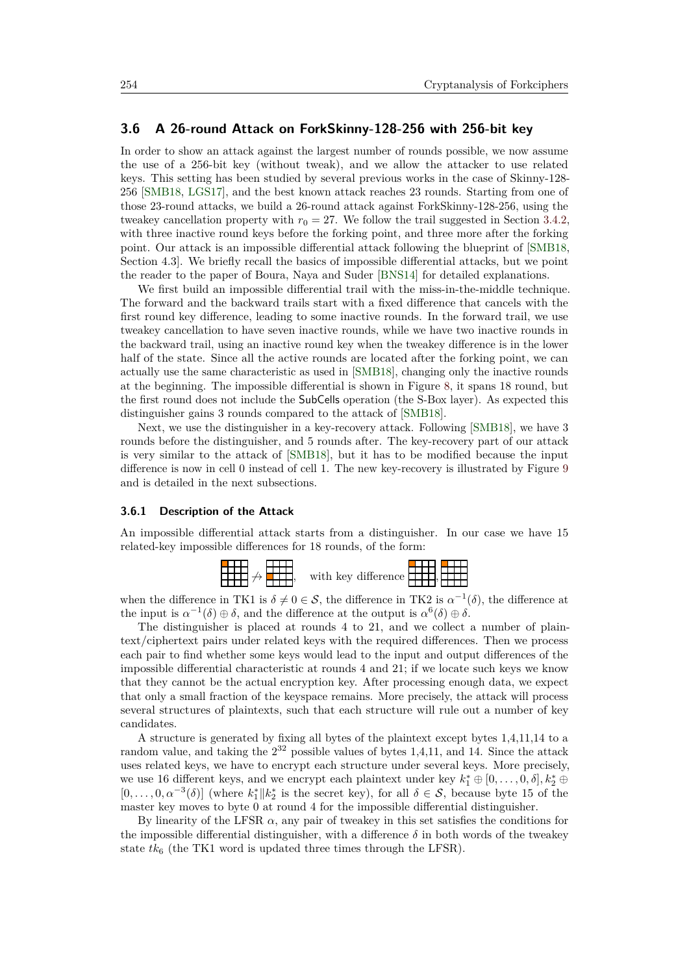## <span id="page-21-0"></span>**3.6 A 26-round Attack on ForkSkinny-128-256 with 256-bit key**

In order to show an attack against the largest number of rounds possible, we now assume the use of a 256-bit key (without tweak), and we allow the attacker to use related keys. This setting has been studied by several previous works in the case of Skinny-128- 256 [\[SMB18,](#page-30-6) [LGS17\]](#page-30-5), and the best known attack reaches 23 rounds. Starting from one of those 23-round attacks, we build a 26-round attack against ForkSkinny-128-256, using the tweakey cancellation property with  $r_0 = 27$ . We follow the trail suggested in Section [3.4.2,](#page-19-1) with three inactive round keys before the forking point, and three more after the forking point. Our attack is an impossible differential attack following the blueprint of [\[SMB18,](#page-30-6) Section 4.3]. We briefly recall the basics of impossible differential attacks, but we point the reader to the paper of Boura, Naya and Suder [\[BNS14\]](#page-29-10) for detailed explanations.

We first build an impossible differential trail with the miss-in-the-middle technique. The forward and the backward trails start with a fixed difference that cancels with the first round key difference, leading to some inactive rounds. In the forward trail, we use tweakey cancellation to have seven inactive rounds, while we have two inactive rounds in the backward trail, using an inactive round key when the tweakey difference is in the lower half of the state. Since all the active rounds are located after the forking point, we can actually use the same characteristic as used in [\[SMB18\]](#page-30-6), changing only the inactive rounds at the beginning. The impossible differential is shown in Figure [8,](#page-22-0) it spans 18 round, but the first round does not include the SubCells operation (the S-Box layer). As expected this distinguisher gains 3 rounds compared to the attack of [\[SMB18\]](#page-30-6).

Next, we use the distinguisher in a key-recovery attack. Following [\[SMB18\]](#page-30-6), we have 3 rounds before the distinguisher, and 5 rounds after. The key-recovery part of our attack is very similar to the attack of [\[SMB18\]](#page-30-6), but it has to be modified because the input difference is now in cell 0 instead of cell 1. The new key-recovery is illustrated by Figure [9](#page-23-0) and is detailed in the next subsections.

#### **3.6.1 Description of the Attack**

An impossible differential attack starts from a distinguisher. In our case we have 15 related-key impossible differences for 18 rounds, of the form:



when the difference in TK1 is  $\delta \neq 0 \in S$ , the difference in TK2 is  $\alpha^{-1}(\delta)$ , the difference at the input is  $\alpha^{-1}(\delta) \oplus \delta$ , and the difference at the output is  $\alpha^6(\delta) \oplus \delta$ .

The distinguisher is placed at rounds 4 to 21, and we collect a number of plaintext/ciphertext pairs under related keys with the required differences. Then we process each pair to find whether some keys would lead to the input and output differences of the impossible differential characteristic at rounds 4 and 21; if we locate such keys we know that they cannot be the actual encryption key. After processing enough data, we expect that only a small fraction of the keyspace remains. More precisely, the attack will process several structures of plaintexts, such that each structure will rule out a number of key candidates.

A structure is generated by fixing all bytes of the plaintext except bytes 1,4,11,14 to a random value, and taking the  $2^{32}$  possible values of bytes 1,4,11, and 14. Since the attack uses related keys, we have to encrypt each structure under several keys. More precisely, we use 16 different keys, and we encrypt each plaintext under key  $k_1^* \oplus [0, \ldots, 0, \delta], k_2^* \oplus$  $[0,\ldots,0,\alpha^{-3}(\delta)]$  (where  $k_1^*||k_2^*$  is the secret key), for all  $\delta \in \mathcal{S}$ , because byte 15 of the master key moves to byte 0 at round 4 for the impossible differential distinguisher.

By linearity of the LFSR  $\alpha$ , any pair of tweakey in this set satisfies the conditions for the impossible differential distinguisher, with a difference  $\delta$  in both words of the tweakey state  $tk_6$  (the TK1 word is updated three times through the LFSR).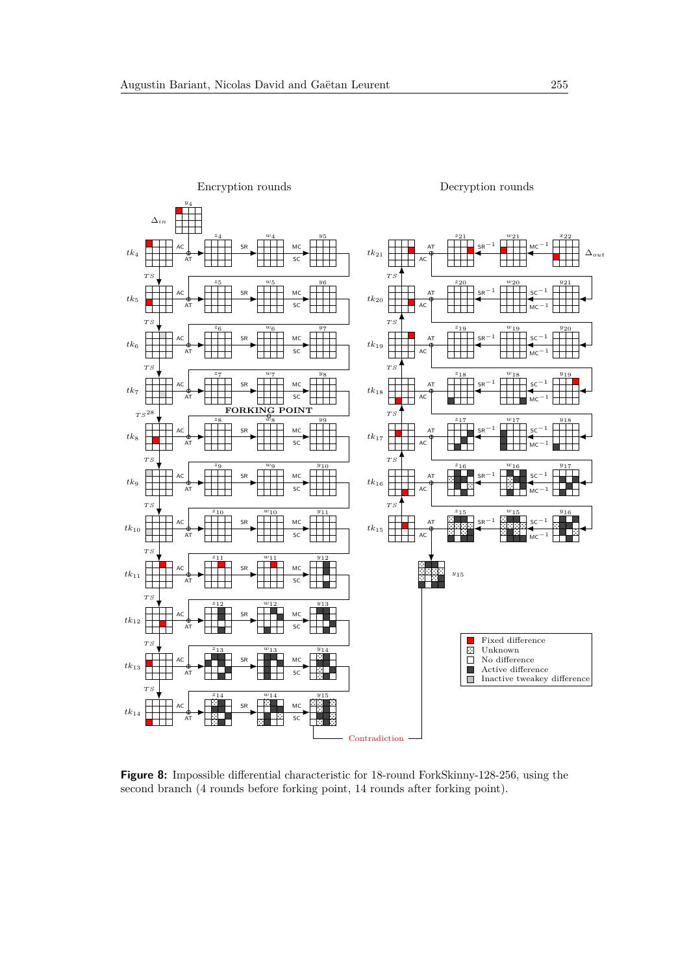<span id="page-22-0"></span>

**Figure 8:** Impossible differential characteristic for 18-round ForkSkinny-128-256, using the second branch (4 rounds before forking point, 14 rounds after forking point).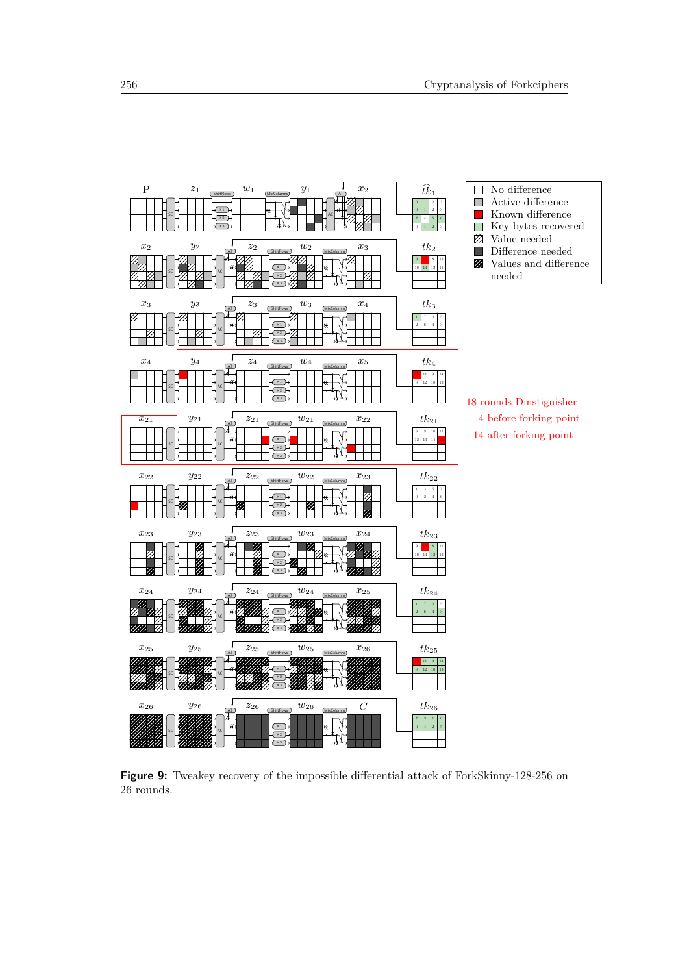<span id="page-23-0"></span>

**Figure 9:** Tweakey recovery of the impossible differential attack of ForkSkinny-128-256 on 26 rounds.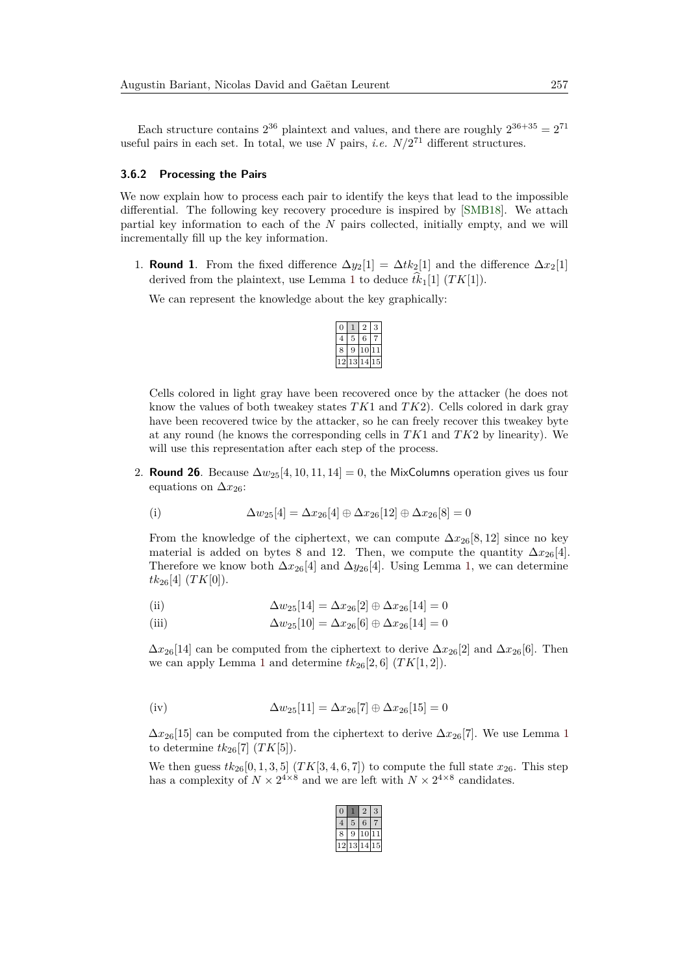Each structure contains  $2^{36}$  plaintext and values, and there are roughly  $2^{36+35} = 2^{71}$ useful pairs in each set. In total, we use  $N$  pairs, *i.e.*  $N/2^{71}$  different structures.

#### **3.6.2 Processing the Pairs**

We now explain how to process each pair to identify the keys that lead to the impossible differential. The following key recovery procedure is inspired by [\[SMB18\]](#page-30-6). We attach partial key information to each of the *N* pairs collected, initially empty, and we will incrementally fill up the key information.

1. **Round 1**. From the fixed difference  $\Delta y_2[1] = \Delta t k_2[1]$  and the difference  $\Delta x_2[1]$ derived from the plaintext, use Lemma [1](#page-4-1) to deduce  $tk_1[1]$  ( $TK[1]$ ).

We can represent the knowledge about the key graphically:

|   |   | 6 |   |
|---|---|---|---|
| ۶ | ر | Ü |   |
|   | З | 4 | 5 |

Cells colored in light gray have been recovered once by the attacker (he does not know the values of both tweakey states *TK*1 and *TK*2). Cells colored in dark gray have been recovered twice by the attacker, so he can freely recover this tweakey byte at any round (he knows the corresponding cells in *TK*1 and *TK*2 by linearity). We will use this representation after each step of the process.

2. **Round 26**. Because  $\Delta w_{25}[4, 10, 11, 14] = 0$ , the MixColumns operation gives us four equations on  $\Delta x_{26}$ :

(i) 
$$
\Delta w_{25}[4] = \Delta x_{26}[4] \oplus \Delta x_{26}[12] \oplus \Delta x_{26}[8] = 0
$$

From the knowledge of the ciphertext, we can compute  $\Delta x_{26}[8, 12]$  since no key material is added on bytes 8 and 12. Then, we compute the quantity  $\Delta x_{26}[4]$ . Therefore we know both  $\Delta x_{26}[4]$  and  $\Delta y_{26}[4]$ . Using Lemma [1,](#page-4-1) we can determine  $tk_{26}[4]$   $(TK[0])$ .

(ii) 
$$
\Delta w_{25}[14] = \Delta x_{26}[2] \oplus \Delta x_{26}[14] = 0
$$

(iii) 
$$
\Delta w_{25}[10] = \Delta x_{26}[6] \oplus \Delta x_{26}[14] = 0
$$

 $\Delta x_{26}[14]$  can be computed from the ciphertext to derive  $\Delta x_{26}[2]$  and  $\Delta x_{26}[6]$ . Then we can apply Lemma [1](#page-4-1) and determine  $tk_{26}[2,6]$   $(TK[1,2])$ .

(iv) 
$$
\Delta w_{25}[11] = \Delta x_{26}[7] \oplus \Delta x_{26}[15] = 0
$$

 $\Delta x_{26}$ [[1](#page-4-1)5] can be computed from the ciphertext to derive  $\Delta x_{26}$ [7]. We use Lemma 1 to determine  $tk_{26}[7]$   $(TK[5])$ .

We then guess  $tk_{26}[0, 1, 3, 5]$   $(TK[3, 4, 6, 7])$  to compute the full state  $x_{26}$ . This step has a complexity of  $N \times 2^{4 \times 8}$  and we are left with  $N \times 2^{4 \times 8}$  candidates.

|   |    | 6      |    |
|---|----|--------|----|
| 8 | 9  | C<br>1 |    |
|   | 13 | 4<br>1 | 15 |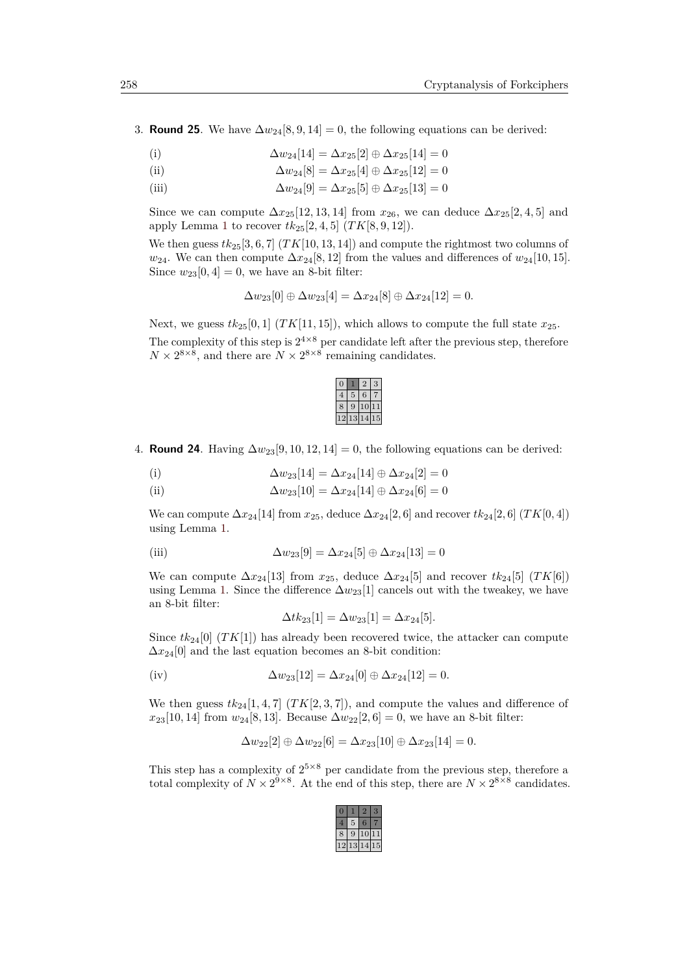3. **Round 25**. We have  $\Delta w_{24}[8, 9, 14] = 0$ , the following equations can be derived:

(i)  $\Delta w_{24}[14] = \Delta x_{25}[2] \oplus \Delta x_{25}[14] = 0$ 

(ii) 
$$
\Delta w_{24}[8] = \Delta x_{25}[4] \oplus \Delta x_{25}[12] = 0
$$

(iii)  $\Delta w_{24}[9] = \Delta x_{25}[5] \oplus \Delta x_{25}[13] = 0$ 

Since we can compute  $\Delta x_{25}[12, 13, 14]$  from  $x_{26}$ , we can deduce  $\Delta x_{25}[2, 4, 5]$  and apply Lemma [1](#page-4-1) to recover  $tk_{25}[2, 4, 5]$   $(TK[8, 9, 12])$ .

We then guess  $tk_{25}[3,6,7]$   $(TK[10,13,14])$  and compute the rightmost two columns of  $w_{24}$ . We can then compute  $\Delta x_{24}[8, 12]$  from the values and differences of  $w_{24}[10, 15]$ . Since  $w_{23}[0,4] = 0$ , we have an 8-bit filter:

$$
\Delta w_{23}[0] \oplus \Delta w_{23}[4] = \Delta x_{24}[8] \oplus \Delta x_{24}[12] = 0.
$$

Next, we guess  $tk_{25}[0,1]$  (*TK*[11, 15]), which allows to compute the full state  $x_{25}$ . The complexity of this step is  $2^{4\times 8}$  per candidate left after the previous step, therefore  $N \times 2^{8 \times 8}$ , and there are  $N \times 2^{8 \times 8}$  remaining candidates.



4. **Round 24**. Having  $\Delta w_{23}[9, 10, 12, 14] = 0$ , the following equations can be derived:

(i) 
$$
\Delta w_{23}[14] = \Delta x_{24}[14] \oplus \Delta x_{24}[2] = 0
$$

(ii)  $\Delta w_{23}[10] = \Delta x_{24}[14] \oplus \Delta x_{24}[6] = 0$ 

We can compute  $\Delta x_{24}$ [14] from  $x_{25}$ , deduce  $\Delta x_{24}$ [2*,* 6] and recover  $tk_{24}$ [2*,* 6] (*TK*[0*,* 4]) using Lemma [1.](#page-4-1)

(iii) 
$$
\Delta w_{23}[9] = \Delta x_{24}[5] \oplus \Delta x_{24}[13] = 0
$$

We can compute  $\Delta x_{24}$ [13] from  $x_{25}$ , deduce  $\Delta x_{24}$ [5] and recover  $tk_{24}$ [5] (*TK*[6]) using Lemma [1.](#page-4-1) Since the difference  $\Delta w_{23}[1]$  cancels out with the tweakey, we have an 8-bit filter:

$$
\Delta t k_{23}[1] = \Delta w_{23}[1] = \Delta x_{24}[5].
$$

Since  $tk_{24}[0]$   $(TK[1])$  has already been recovered twice, the attacker can compute  $\Delta x_{24}[0]$  and the last equation becomes an 8-bit condition:

(iv) 
$$
\Delta w_{23}[12] = \Delta x_{24}[0] \oplus \Delta x_{24}[12] = 0.
$$

We then guess  $tk_{24}[1,4,7]$   $(TK[2,3,7])$ , and compute the values and difference of  $x_{23}[10, 14]$  from  $w_{24}[8, 13]$ . Because  $\Delta w_{22}[2, 6] = 0$ , we have an 8-bit filter:

$$
\Delta w_{22}[2] \oplus \Delta w_{22}[6] = \Delta x_{23}[10] \oplus \Delta x_{23}[14] = 0.
$$

This step has a complexity of  $2^{5\times 8}$  per candidate from the previous step, therefore a total complexity of  $N \times 2^{9 \times 8}$ . At the end of this step, there are  $N \times 2^{8 \times 8}$  candidates.

| × | ò |   |   |
|---|---|---|---|
|   | ÷ | 4 | 5 |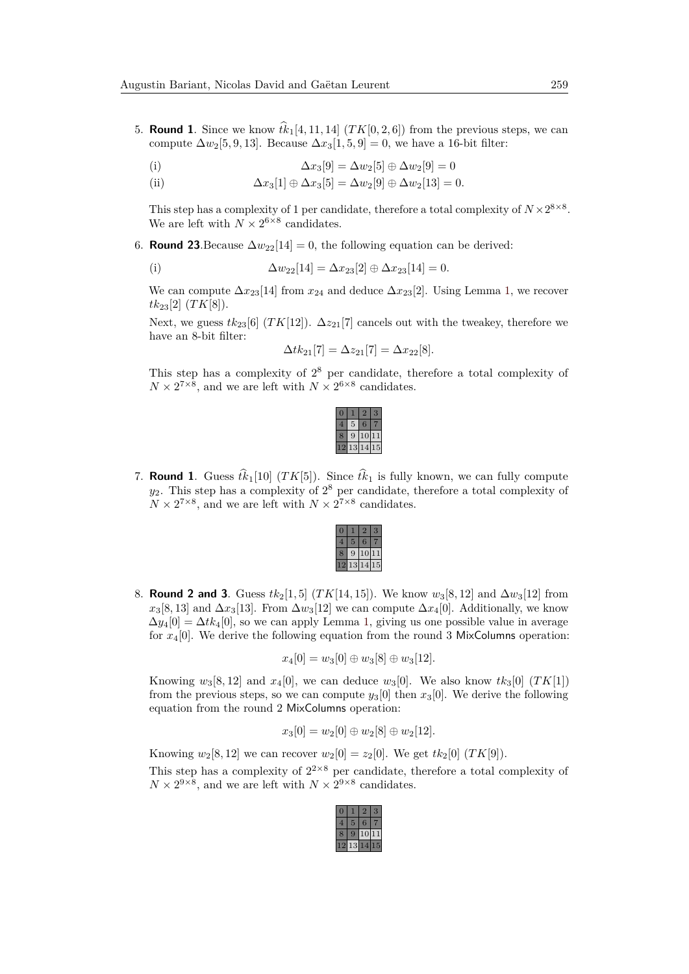5. **Round 1**. Since we know  $tk_1[4, 11, 14]$  ( $TK[0, 2, 6]$ ) from the previous steps, we can compute  $\Delta w_2[5, 9, 13]$ . Because  $\Delta x_3[1, 5, 9] = 0$ , we have a 16-bit filter:

(i) 
$$
\Delta x_3[9] = \Delta w_2[5] \oplus \Delta w_2[9] = 0
$$

(ii)  $\Delta x_3[1] \oplus \Delta x_3[5] = \Delta w_2[9] \oplus \Delta w_2[13] = 0.$ 

This step has a complexity of 1 per candidate, therefore a total complexity of  $N \times 2^{8 \times 8}$ . We are left with  $N \times 2^{6 \times 8}$  candidates.

6. **Round 23**. Because  $\Delta w_{22}[14] = 0$ , the following equation can be derived:

(i) 
$$
\Delta w_{22}[14] = \Delta x_{23}[2] \oplus \Delta x_{23}[14] = 0.
$$

We can compute  $\Delta x_{23}$ [14] from  $x_{24}$  and deduce  $\Delta x_{23}$ [2]. Using Lemma [1,](#page-4-1) we recover  $tk_{23}[2]$  (*TK*[8]).

Next, we guess  $tk_{23}[6]$  (*TK*[12]).  $\Delta z_{21}[7]$  cancels out with the tweakey, therefore we have an 8-bit filter:

$$
\Delta t k_{21}[7] = \Delta z_{21}[7] = \Delta x_{22}[8].
$$

This step has a complexity of  $2^8$  per candidate, therefore a total complexity of  $N \times 2^{7 \times 8}$ , and we are left with  $N \times 2^{6 \times 8}$  candidates.

| г |                |   |
|---|----------------|---|
| 9 |                |   |
|   | $\frac{14}{1}$ | ã |

7. **Round 1**. Guess  $\hat{t}_{k_1}[10]$  (*TK*[5]). Since  $\hat{t}_{k_1}$  is fully known, we can fully compute  $y_2$ . This step has a complexity of  $2^8$  per candidate, therefore a total complexity of  $N \times 2^{7 \times 8}$ , and we are left with  $N \times 2^{7 \times 8}$  candidates.

|  | ٠ |    |  |
|--|---|----|--|
|  |   | 4, |  |

8. **Round 2 and 3.** Guess  $tk_2[1,5]$  ( $TK[14,15]$ ). We know  $w_3[8,12]$  and  $\Delta w_3[12]$  from  $x_3[8, 13]$  and  $\Delta x_3[13]$ . From  $\Delta w_3[12]$  we can compute  $\Delta x_4[0]$ . Additionally, we know  $\Delta y_4[0] = \Delta t k_4[0]$ , so we can apply Lemma [1,](#page-4-1) giving us one possible value in average for  $x_4[0]$ . We derive the following equation from the round 3 MixColumns operation:

$$
x_4[0] = w_3[0] \oplus w_3[8] \oplus w_3[12].
$$

Knowing  $w_3[8, 12]$  and  $x_4[0]$ , we can deduce  $w_3[0]$ . We also know  $tk_3[0]$  (*TK*[1]) from the previous steps, so we can compute  $y_3[0]$  then  $x_3[0]$ . We derive the following equation from the round 2 MixColumns operation:

$$
x_3[0] = w_2[0] \oplus w_2[8] \oplus w_2[12].
$$

Knowing  $w_2[8, 12]$  we can recover  $w_2[0] = z_2[0]$ . We get  $tk_2[0]$  (*TK*[9]). This step has a complexity of  $2^{2\times 8}$  per candidate, therefore a total complexity of  $N \times 2^{9 \times 8}$ , and we are left with  $N \times 2^{9 \times 8}$  candidates.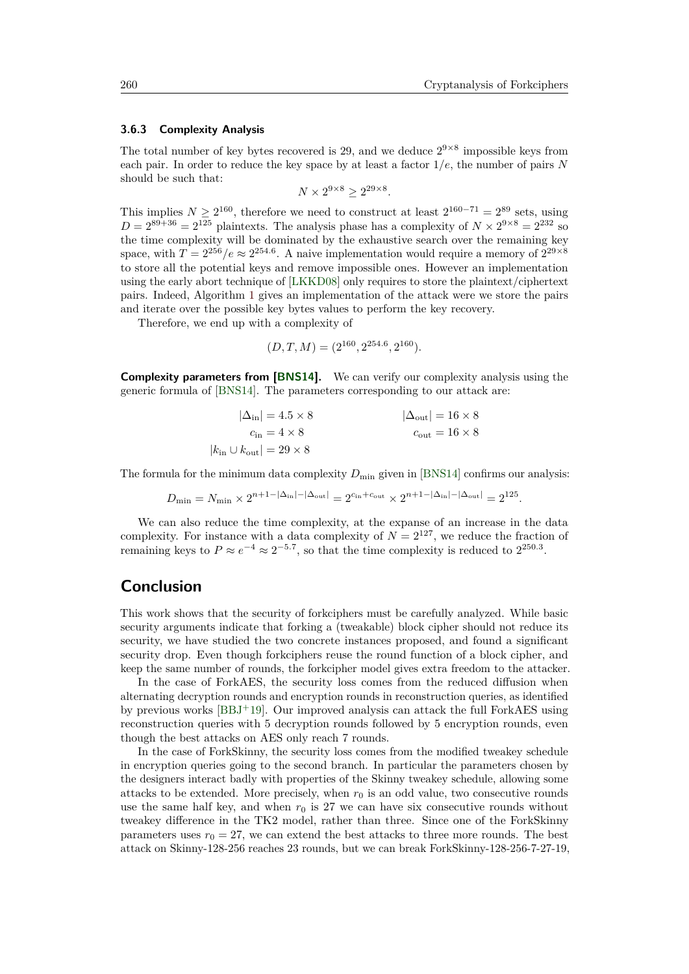### **3.6.3 Complexity Analysis**

The total number of key bytes recovered is 29, and we deduce  $2^{9\times8}$  impossible keys from each pair. In order to reduce the key space by at least a factor 1*/e*, the number of pairs *N* should be such that:

$$
N \times 2^{9 \times 8} \ge 2^{29 \times 8}.
$$

This implies  $N \geq 2^{160}$ , therefore we need to construct at least  $2^{160-71} = 2^{89}$  sets, using  $D = 2^{89+36} = 2^{125}$  plaintexts. The analysis phase has a complexity of  $N \times 2^{9 \times 8} = 2^{232}$  so the time complexity will be dominated by the exhaustive search over the remaining key space, with  $T = 2^{256}/e \approx 2^{254.6}$ . A naive implementation would require a memory of  $2^{29 \times 8}$ to store all the potential keys and remove impossible ones. However an implementation using the early abort technique of [\[LKKD08\]](#page-30-7) only requires to store the plaintext/ciphertext pairs. Indeed, Algorithm [1](#page-28-0) gives an implementation of the attack were we store the pairs and iterate over the possible key bytes values to perform the key recovery.

Therefore, we end up with a complexity of

$$
(D, T, M) = (2^{160}, 2^{254.6}, 2^{160}).
$$

**Complexity parameters from [\[BNS14\]](#page-29-10).** We can verify our complexity analysis using the generic formula of [\[BNS14\]](#page-29-10). The parameters corresponding to our attack are:

$$
|\Delta_{\rm in}| = 4.5 \times 8
$$
  
\n
$$
c_{\rm in} = 4 \times 8
$$
  
\n
$$
|\Delta_{\rm out}| = 16 \times 8
$$
  
\n
$$
|\Delta_{\rm out}| = 16 \times 8
$$
  
\n
$$
|k_{\rm in} \cup k_{\rm out}| = 29 \times 8
$$

The formula for the minimum data complexity  $D_{\min}$  given in [\[BNS14\]](#page-29-10) confirms our analysis:

$$
D_{\min} = N_{\min} \times 2^{n+1-|\Delta_{\text{in}}|-|\Delta_{\text{out}}|} = 2^{c_{\text{in}}+c_{\text{out}}} \times 2^{n+1-|\Delta_{\text{in}}|-|\Delta_{\text{out}}|} = 2^{125}.
$$

We can also reduce the time complexity, at the expanse of an increase in the data complexity. For instance with a data complexity of  $N = 2^{127}$ , we reduce the fraction of remaining keys to  $P \approx e^{-4} \approx 2^{-5.7}$ , so that the time complexity is reduced to  $2^{250.3}$ .

## **Conclusion**

This work shows that the security of forkciphers must be carefully analyzed. While basic security arguments indicate that forking a (tweakable) block cipher should not reduce its security, we have studied the two concrete instances proposed, and found a significant security drop. Even though forkciphers reuse the round function of a block cipher, and keep the same number of rounds, the forkcipher model gives extra freedom to the attacker.

In the case of ForkAES, the security loss comes from the reduced diffusion when alternating decryption rounds and encryption rounds in reconstruction queries, as identified by previous works [\[BBJ](#page-29-4)<sup>+</sup>19]. Our improved analysis can attack the full ForkAES using reconstruction queries with 5 decryption rounds followed by 5 encryption rounds, even though the best attacks on AES only reach 7 rounds.

In the case of ForkSkinny, the security loss comes from the modified tweakey schedule in encryption queries going to the second branch. In particular the parameters chosen by the designers interact badly with properties of the Skinny tweakey schedule, allowing some attacks to be extended. More precisely, when  $r_0$  is an odd value, two consecutive rounds use the same half key, and when  $r_0$  is 27 we can have six consecutive rounds without tweakey difference in the TK2 model, rather than three. Since one of the ForkSkinny parameters uses  $r_0 = 27$ , we can extend the best attacks to three more rounds. The best attack on Skinny-128-256 reaches 23 rounds, but we can break ForkSkinny-128-256-7-27-19,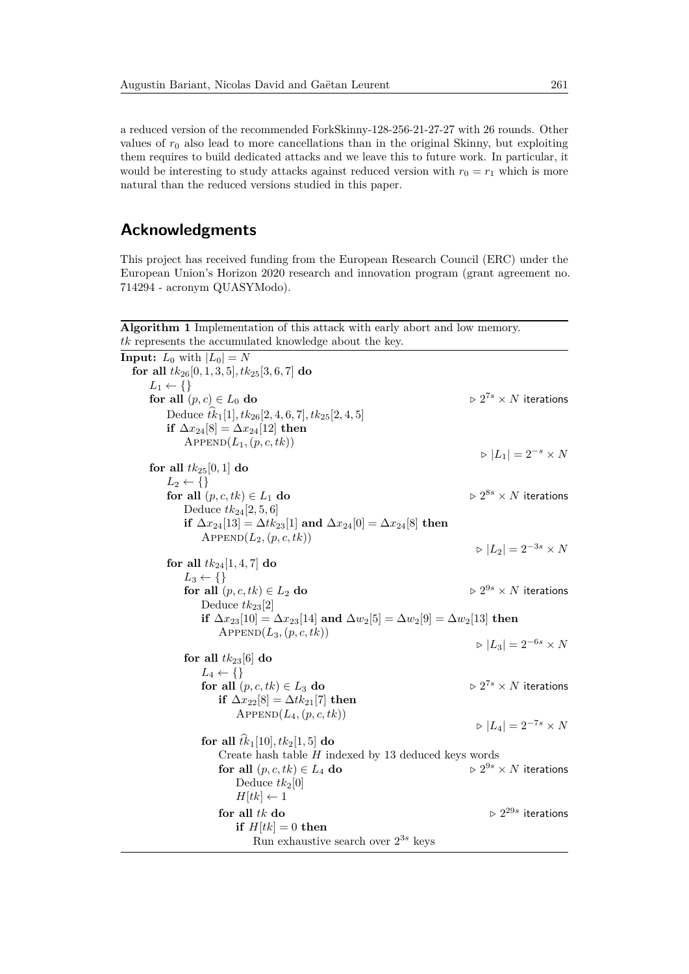a reduced version of the recommended ForkSkinny-128-256-21-27-27 with 26 rounds. Other values of  $r_0$  also lead to more cancellations than in the original Skinny, but exploiting them requires to build dedicated attacks and we leave this to future work. In particular, it would be interesting to study attacks against reduced version with  $r_0 = r_1$  which is more natural than the reduced versions studied in this paper.

## **Acknowledgments**

This project has received funding from the European Research Council (ERC) under the European Union's Horizon 2020 research and innovation program (grant agreement no. 714294 - acronym QUASYModo).

<span id="page-28-0"></span>**Algorithm 1** Implementation of this attack with early abort and low memory. *tk* represents the accumulated knowledge about the key.

| <b>Input:</b> $L_0$ with $ L_0  = N$                                                                 |                                                |
|------------------------------------------------------------------------------------------------------|------------------------------------------------|
| for all $tk_{26}[0,1,3,5], tk_{25}[3,6,7]$ do                                                        |                                                |
| $L_1 \leftarrow \{\}$                                                                                |                                                |
| for all $(p, c) \in L_0$ do                                                                          | $\triangleright 2^{7s} \times N$ iterations    |
| Deduce $tk_1[1], tk_{26}[2, 4, 6, 7], tk_{25}[2, 4, 5]$                                              |                                                |
| if $\Delta x_{24}[8] = \Delta x_{24}[12]$ then                                                       |                                                |
| $APPEND(L_1, (p, c, tk))$                                                                            |                                                |
|                                                                                                      | $\triangleright$ $ L_1  = 2^{-s} \times N$     |
| for all $tk_{25}[0,1]$ do                                                                            |                                                |
| $L_2 \leftarrow \{\}$                                                                                |                                                |
| for all $(p, c, tk) \in L_1$ do                                                                      | $\triangleright 2^{8s} \times N$ iterations    |
| Deduce $tk_{24}[2,5,6]$                                                                              |                                                |
| if $\Delta x_{24}[13] = \Delta t k_{23}[1]$ and $\Delta x_{24}[0] = \Delta x_{24}[8]$ then           |                                                |
| $APPEND(L_2, (p, c, tk))$                                                                            | $ L_2  = 2^{-3s} \times N$                     |
|                                                                                                      |                                                |
| for all $tk_{24}[1,4,7]$ do<br>$L_3 \leftarrow \{\}$                                                 |                                                |
| for all $(p, c, tk) \in L_2$ do                                                                      | $\triangleright 2^{9s} \times N$ iterations    |
| Deduce $tk_{23}[2]$                                                                                  |                                                |
| if $\Delta x_{23}[10] = \Delta x_{23}[14]$ and $\Delta w_2[5] = \Delta w_2[9] = \Delta w_2[13]$ then |                                                |
| $APPEND(L_3, (p, c, tk))$                                                                            |                                                |
|                                                                                                      | $ L_3  = 2^{-6s} \times N$                     |
| for all $tk_{23}[6]$ do                                                                              |                                                |
| $L_4 \leftarrow \{\}$                                                                                |                                                |
| for all $(p, c, tk) \in L_3$ do                                                                      | $\triangleright 2^{7s} \times N$ iterations    |
| if $\Delta x_{22} [8] = \Delta t k_{21} [7]$ then                                                    |                                                |
| $APPEND(L_4, (p, c, tk))$                                                                            |                                                |
|                                                                                                      | $ L_4  = 2^{-7s} \times N$                     |
| for all $\hat{tk}_1[10], tk_2[1, 5]$ do                                                              |                                                |
| Create hash table $H$ indexed by 13 deduced keys words                                               |                                                |
| for all $(p, c, tk) \in L_4$ do                                                                      | $\vartriangleright 2^{9s} \times N$ iterations |
| Deduce $tk_2[0]$                                                                                     |                                                |
| $H[tk] \leftarrow 1$                                                                                 |                                                |
| for all $tk$ do                                                                                      | $\triangleright 2^{29s}$ iterations            |
| if $H[tk] = 0$ then                                                                                  |                                                |
| Run exhaustive search over $2^{3s}$ keys                                                             |                                                |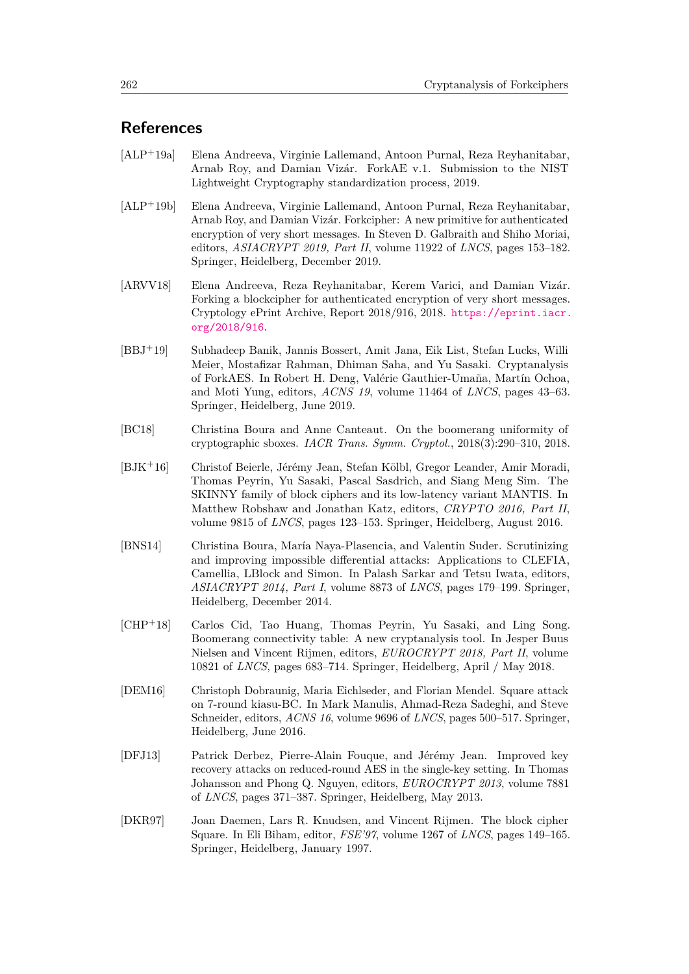## **References**

- <span id="page-29-1"></span>[ALP<sup>+</sup>19a] Elena Andreeva, Virginie Lallemand, Antoon Purnal, Reza Reyhanitabar, Arnab Roy, and Damian Vizár. ForkAE v.1. Submission to the NIST Lightweight Cryptography standardization process, 2019.
- <span id="page-29-2"></span>[ALP<sup>+</sup>19b] Elena Andreeva, Virginie Lallemand, Antoon Purnal, Reza Reyhanitabar, Arnab Roy, and Damian Vizár. Forkcipher: A new primitive for authenticated encryption of very short messages. In Steven D. Galbraith and Shiho Moriai, editors, *ASIACRYPT 2019, Part II*, volume 11922 of *LNCS*, pages 153–182. Springer, Heidelberg, December 2019.
- <span id="page-29-0"></span>[ARVV18] Elena Andreeva, Reza Reyhanitabar, Kerem Varici, and Damian Vizár. Forking a blockcipher for authenticated encryption of very short messages. Cryptology ePrint Archive, Report 2018/916, 2018. [https://eprint.iacr.](https://eprint.iacr.org/2018/916) [org/2018/916](https://eprint.iacr.org/2018/916).
- <span id="page-29-4"></span>[BBJ<sup>+</sup>19] Subhadeep Banik, Jannis Bossert, Amit Jana, Eik List, Stefan Lucks, Willi Meier, Mostafizar Rahman, Dhiman Saha, and Yu Sasaki. Cryptanalysis of ForkAES. In Robert H. Deng, Valérie Gauthier-Umaña, Martín Ochoa, and Moti Yung, editors, *ACNS 19*, volume 11464 of *LNCS*, pages 43–63. Springer, Heidelberg, June 2019.
- <span id="page-29-9"></span>[BC18] Christina Boura and Anne Canteaut. On the boomerang uniformity of cryptographic sboxes. *IACR Trans. Symm. Cryptol.*, 2018(3):290–310, 2018.
- <span id="page-29-3"></span>[BJK<sup>+</sup>16] Christof Beierle, Jérémy Jean, Stefan Kölbl, Gregor Leander, Amir Moradi, Thomas Peyrin, Yu Sasaki, Pascal Sasdrich, and Siang Meng Sim. The SKINNY family of block ciphers and its low-latency variant MANTIS. In Matthew Robshaw and Jonathan Katz, editors, *CRYPTO 2016, Part II*, volume 9815 of *LNCS*, pages 123–153. Springer, Heidelberg, August 2016.
- <span id="page-29-10"></span>[BNS14] Christina Boura, María Naya-Plasencia, and Valentin Suder. Scrutinizing and improving impossible differential attacks: Applications to CLEFIA, Camellia, LBlock and Simon. In Palash Sarkar and Tetsu Iwata, editors, *ASIACRYPT 2014, Part I*, volume 8873 of *LNCS*, pages 179–199. Springer, Heidelberg, December 2014.
- <span id="page-29-8"></span>[CHP<sup>+</sup>18] Carlos Cid, Tao Huang, Thomas Peyrin, Yu Sasaki, and Ling Song. Boomerang connectivity table: A new cryptanalysis tool. In Jesper Buus Nielsen and Vincent Rijmen, editors, *EUROCRYPT 2018, Part II*, volume 10821 of *LNCS*, pages 683–714. Springer, Heidelberg, April / May 2018.
- <span id="page-29-7"></span>[DEM16] Christoph Dobraunig, Maria Eichlseder, and Florian Mendel. Square attack on 7-round kiasu-BC. In Mark Manulis, Ahmad-Reza Sadeghi, and Steve Schneider, editors, *ACNS 16*, volume 9696 of *LNCS*, pages 500–517. Springer, Heidelberg, June 2016.
- <span id="page-29-6"></span>[DFJ13] Patrick Derbez, Pierre-Alain Fouque, and Jérémy Jean. Improved key recovery attacks on reduced-round AES in the single-key setting. In Thomas Johansson and Phong Q. Nguyen, editors, *EUROCRYPT 2013*, volume 7881 of *LNCS*, pages 371–387. Springer, Heidelberg, May 2013.
- <span id="page-29-5"></span>[DKR97] Joan Daemen, Lars R. Knudsen, and Vincent Rijmen. The block cipher Square. In Eli Biham, editor, *FSE'97*, volume 1267 of *LNCS*, pages 149–165. Springer, Heidelberg, January 1997.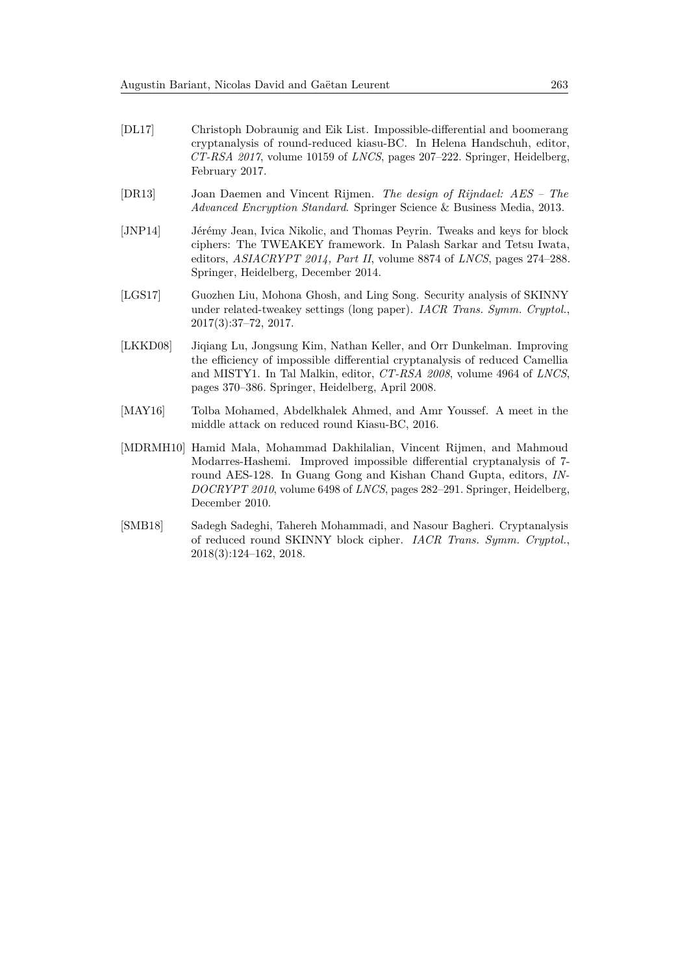- <span id="page-30-4"></span>[DL17] Christoph Dobraunig and Eik List. Impossible-differential and boomerang cryptanalysis of round-reduced kiasu-BC. In Helena Handschuh, editor, *CT-RSA 2017*, volume 10159 of *LNCS*, pages 207–222. Springer, Heidelberg, February 2017.
- <span id="page-30-0"></span>[DR13] Joan Daemen and Vincent Rijmen. *The design of Rijndael: AES – The Advanced Encryption Standard*. Springer Science & Business Media, 2013.
- <span id="page-30-1"></span>[JNP14] Jérémy Jean, Ivica Nikolic, and Thomas Peyrin. Tweaks and keys for block ciphers: The TWEAKEY framework. In Palash Sarkar and Tetsu Iwata, editors, *ASIACRYPT 2014, Part II*, volume 8874 of *LNCS*, pages 274–288. Springer, Heidelberg, December 2014.
- <span id="page-30-5"></span>[LGS17] Guozhen Liu, Mohona Ghosh, and Ling Song. Security analysis of SKINNY under related-tweakey settings (long paper). *IACR Trans. Symm. Cryptol.*, 2017(3):37–72, 2017.
- <span id="page-30-7"></span>[LKKD08] Jiqiang Lu, Jongsung Kim, Nathan Keller, and Orr Dunkelman. Improving the efficiency of impossible differential cryptanalysis of reduced Camellia and MISTY1. In Tal Malkin, editor, *CT-RSA 2008*, volume 4964 of *LNCS*, pages 370–386. Springer, Heidelberg, April 2008.
- <span id="page-30-3"></span>[MAY16] Tolba Mohamed, Abdelkhalek Ahmed, and Amr Youssef. A meet in the middle attack on reduced round Kiasu-BC, 2016.
- <span id="page-30-2"></span>[MDRMH10] Hamid Mala, Mohammad Dakhilalian, Vincent Rijmen, and Mahmoud Modarres-Hashemi. Improved impossible differential cryptanalysis of 7 round AES-128. In Guang Gong and Kishan Chand Gupta, editors, *IN-DOCRYPT 2010*, volume 6498 of *LNCS*, pages 282–291. Springer, Heidelberg, December 2010.
- <span id="page-30-6"></span>[SMB18] Sadegh Sadeghi, Tahereh Mohammadi, and Nasour Bagheri. Cryptanalysis of reduced round SKINNY block cipher. *IACR Trans. Symm. Cryptol.*, 2018(3):124–162, 2018.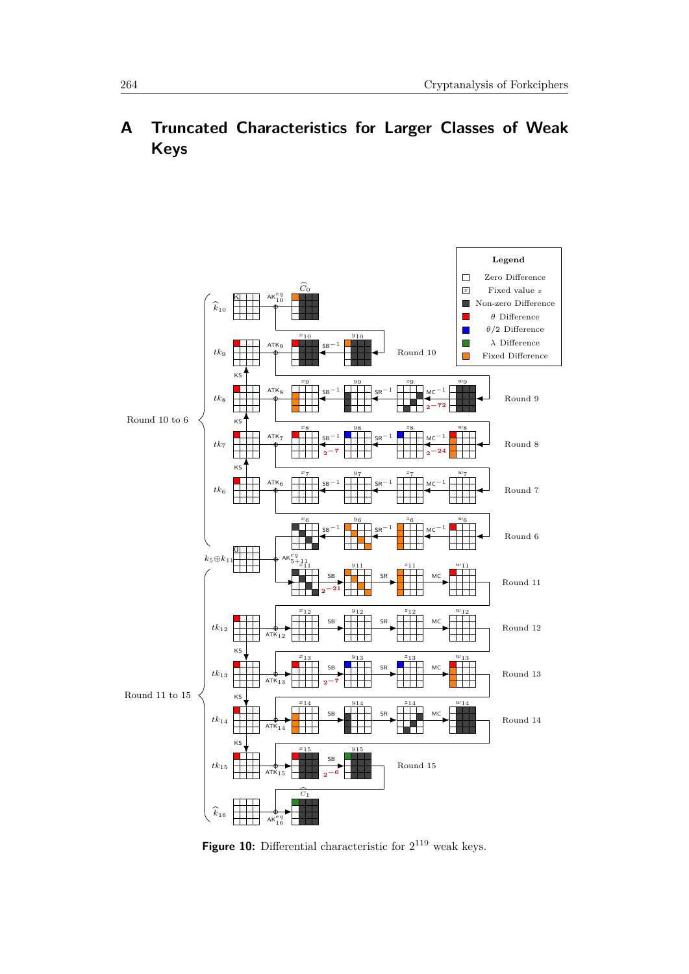# **A Truncated Characteristics for Larger Classes of Weak Keys**

<span id="page-31-0"></span>

**Figure 10:** Differential characteristic for  $2^{119}$  weak keys.